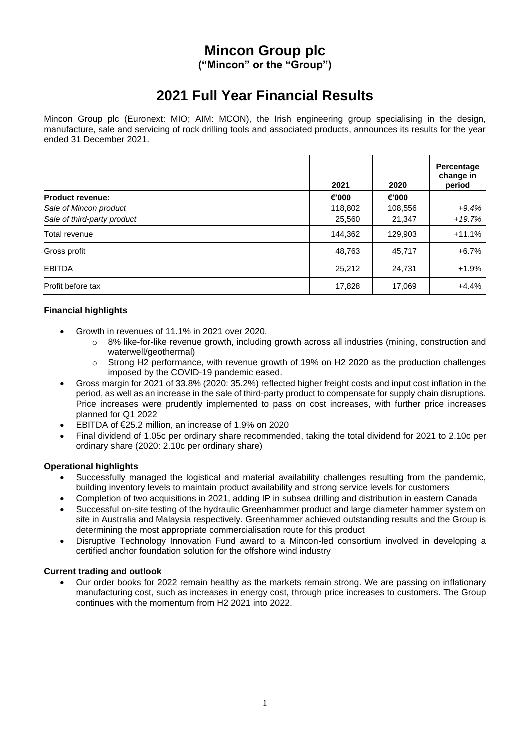# **Mincon Group plc**

**("Mincon" or the "Group")**

# **2021 Full Year Financial Results**

Mincon Group plc (Euronext: MIO; AIM: MCON), the Irish engineering group specialising in the design, manufacture, sale and servicing of rock drilling tools and associated products, announces its results for the year ended 31 December 2021.

|                             | 2021    | 2020    | Percentage<br>change in<br>period |
|-----------------------------|---------|---------|-----------------------------------|
| <b>Product revenue:</b>     | €'000   | €'000   |                                   |
| Sale of Mincon product      | 118,802 | 108,556 | $+9.4%$                           |
| Sale of third-party product | 25,560  | 21,347  | $+19.7%$                          |
| Total revenue               | 144,362 | 129,903 | $+11.1%$                          |
| Gross profit                | 48,763  | 45,717  | $+6.7%$                           |
| <b>EBITDA</b>               | 25,212  | 24,731  | $+1.9%$                           |
| Profit before tax           | 17,828  | 17,069  | $+4.4%$                           |

## **Financial highlights**

- Growth in revenues of 11.1% in 2021 over 2020.
	- $\circ$  8% like-for-like revenue growth, including growth across all industries (mining, construction and waterwell/geothermal)
	- $\circ$  Strong H2 performance, with revenue growth of 19% on H2 2020 as the production challenges imposed by the COVID-19 pandemic eased.
- Gross margin for 2021 of 33.8% (2020: 35.2%) reflected higher freight costs and input cost inflation in the period, as well as an increase in the sale of third-party product to compensate for supply chain disruptions. Price increases were prudently implemented to pass on cost increases, with further price increases planned for Q1 2022
- EBITDA of €25.2 million, an increase of 1.9% on 2020
- Final dividend of 1.05c per ordinary share recommended, taking the total dividend for 2021 to 2.10c per ordinary share (2020: 2.10c per ordinary share)

## **Operational highlights**

- Successfully managed the logistical and material availability challenges resulting from the pandemic, building inventory levels to maintain product availability and strong service levels for customers
- Completion of two acquisitions in 2021, adding IP in subsea drilling and distribution in eastern Canada
- Successful on-site testing of the hydraulic Greenhammer product and large diameter hammer system on site in Australia and Malaysia respectively. Greenhammer achieved outstanding results and the Group is determining the most appropriate commercialisation route for this product
- Disruptive Technology Innovation Fund award to a Mincon-led consortium involved in developing a certified anchor foundation solution for the offshore wind industry

## **Current trading and outlook**

• Our order books for 2022 remain healthy as the markets remain strong. We are passing on inflationary manufacturing cost, such as increases in energy cost, through price increases to customers. The Group continues with the momentum from H2 2021 into 2022.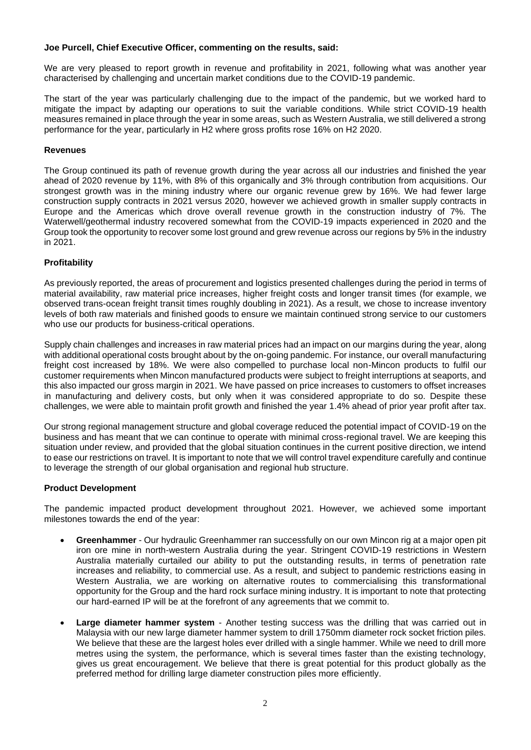#### **Joe Purcell, Chief Executive Officer, commenting on the results, said:**

We are very pleased to report growth in revenue and profitability in 2021, following what was another year characterised by challenging and uncertain market conditions due to the COVID-19 pandemic.

The start of the year was particularly challenging due to the impact of the pandemic, but we worked hard to mitigate the impact by adapting our operations to suit the variable conditions. While strict COVID-19 health measures remained in place through the year in some areas, such as Western Australia, we still delivered a strong performance for the year, particularly in H2 where gross profits rose 16% on H2 2020.

#### **Revenues**

The Group continued its path of revenue growth during the year across all our industries and finished the year ahead of 2020 revenue by 11%, with 8% of this organically and 3% through contribution from acquisitions. Our strongest growth was in the mining industry where our organic revenue grew by 16%. We had fewer large construction supply contracts in 2021 versus 2020, however we achieved growth in smaller supply contracts in Europe and the Americas which drove overall revenue growth in the construction industry of 7%. The Waterwell/geothermal industry recovered somewhat from the COVID-19 impacts experienced in 2020 and the Group took the opportunity to recover some lost ground and grew revenue across our regions by 5% in the industry in 2021.

#### **Profitability**

As previously reported, the areas of procurement and logistics presented challenges during the period in terms of material availability, raw material price increases, higher freight costs and longer transit times (for example, we observed trans-ocean freight transit times roughly doubling in 2021). As a result, we chose to increase inventory levels of both raw materials and finished goods to ensure we maintain continued strong service to our customers who use our products for business-critical operations.

Supply chain challenges and increases in raw material prices had an impact on our margins during the year, along with additional operational costs brought about by the on-going pandemic. For instance, our overall manufacturing freight cost increased by 18%. We were also compelled to purchase local non-Mincon products to fulfil our customer requirements when Mincon manufactured products were subject to freight interruptions at seaports, and this also impacted our gross margin in 2021. We have passed on price increases to customers to offset increases in manufacturing and delivery costs, but only when it was considered appropriate to do so. Despite these challenges, we were able to maintain profit growth and finished the year 1.4% ahead of prior year profit after tax.

Our strong regional management structure and global coverage reduced the potential impact of COVID-19 on the business and has meant that we can continue to operate with minimal cross-regional travel. We are keeping this situation under review, and provided that the global situation continues in the current positive direction, we intend to ease our restrictions on travel. It is important to note that we will control travel expenditure carefully and continue to leverage the strength of our global organisation and regional hub structure.

#### **Product Development**

The pandemic impacted product development throughout 2021. However, we achieved some important milestones towards the end of the year:

- **Greenhammer**  Our hydraulic Greenhammer ran successfully on our own Mincon rig at a major open pit iron ore mine in north-western Australia during the year. Stringent COVID-19 restrictions in Western Australia materially curtailed our ability to put the outstanding results, in terms of penetration rate increases and reliability, to commercial use. As a result, and subject to pandemic restrictions easing in Western Australia, we are working on alternative routes to commercialising this transformational opportunity for the Group and the hard rock surface mining industry. It is important to note that protecting our hard-earned IP will be at the forefront of any agreements that we commit to.
- **Large diameter hammer system** Another testing success was the drilling that was carried out in Malaysia with our new large diameter hammer system to drill 1750mm diameter rock socket friction piles. We believe that these are the largest holes ever drilled with a single hammer. While we need to drill more metres using the system, the performance, which is several times faster than the existing technology, gives us great encouragement. We believe that there is great potential for this product globally as the preferred method for drilling large diameter construction piles more efficiently.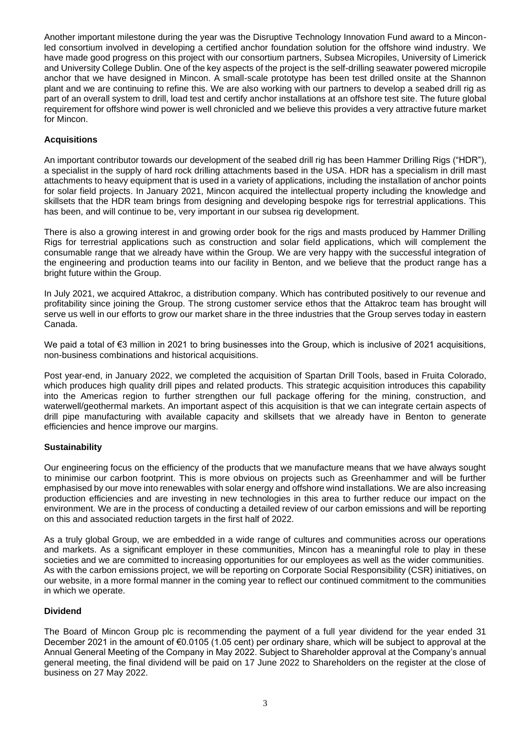Another important milestone during the year was the Disruptive Technology Innovation Fund award to a Minconled consortium involved in developing a certified anchor foundation solution for the offshore wind industry. We have made good progress on this project with our consortium partners, Subsea Micropiles, University of Limerick and University College Dublin. One of the key aspects of the project is the self-drilling seawater powered micropile anchor that we have designed in Mincon. A small-scale prototype has been test drilled onsite at the Shannon plant and we are continuing to refine this. We are also working with our partners to develop a seabed drill rig as part of an overall system to drill, load test and certify anchor installations at an offshore test site. The future global requirement for offshore wind power is well chronicled and we believe this provides a very attractive future market for Mincon.

## **Acquisitions**

An important contributor towards our development of the seabed drill rig has been Hammer Drilling Rigs ("HDR"), a specialist in the supply of hard rock drilling attachments based in the USA. HDR has a specialism in drill mast attachments to heavy equipment that is used in a variety of applications, including the installation of anchor points for solar field projects. In January 2021, Mincon acquired the intellectual property including the knowledge and skillsets that the HDR team brings from designing and developing bespoke rigs for terrestrial applications. This has been, and will continue to be, very important in our subsea rig development.

There is also a growing interest in and growing order book for the rigs and masts produced by Hammer Drilling Rigs for terrestrial applications such as construction and solar field applications, which will complement the consumable range that we already have within the Group. We are very happy with the successful integration of the engineering and production teams into our facility in Benton, and we believe that the product range has a bright future within the Group.

In July 2021, we acquired Attakroc, a distribution company. Which has contributed positively to our revenue and profitability since joining the Group. The strong customer service ethos that the Attakroc team has brought will serve us well in our efforts to grow our market share in the three industries that the Group serves today in eastern Canada.

We paid a total of €3 million in 2021 to bring businesses into the Group, which is inclusive of 2021 acquisitions, non-business combinations and historical acquisitions.

Post year-end, in January 2022, we completed the acquisition of Spartan Drill Tools, based in Fruita Colorado, which produces high quality drill pipes and related products. This strategic acquisition introduces this capability into the Americas region to further strengthen our full package offering for the mining, construction, and waterwell/geothermal markets. An important aspect of this acquisition is that we can integrate certain aspects of drill pipe manufacturing with available capacity and skillsets that we already have in Benton to generate efficiencies and hence improve our margins.

## **Sustainability**

Our engineering focus on the efficiency of the products that we manufacture means that we have always sought to minimise our carbon footprint. This is more obvious on projects such as Greenhammer and will be further emphasised by our move into renewables with solar energy and offshore wind installations. We are also increasing production efficiencies and are investing in new technologies in this area to further reduce our impact on the environment. We are in the process of conducting a detailed review of our carbon emissions and will be reporting on this and associated reduction targets in the first half of 2022.

As a truly global Group, we are embedded in a wide range of cultures and communities across our operations and markets. As a significant employer in these communities, Mincon has a meaningful role to play in these societies and we are committed to increasing opportunities for our employees as well as the wider communities. As with the carbon emissions project, we will be reporting on Corporate Social Responsibility (CSR) initiatives, on our website, in a more formal manner in the coming year to reflect our continued commitment to the communities in which we operate.

## **Dividend**

The Board of Mincon Group plc is recommending the payment of a full year dividend for the year ended 31 December 2021 in the amount of €0.0105 (1.05 cent) per ordinary share, which will be subject to approval at the Annual General Meeting of the Company in May 2022. Subject to Shareholder approval at the Company's annual general meeting, the final dividend will be paid on 17 June 2022 to Shareholders on the register at the close of business on 27 May 2022.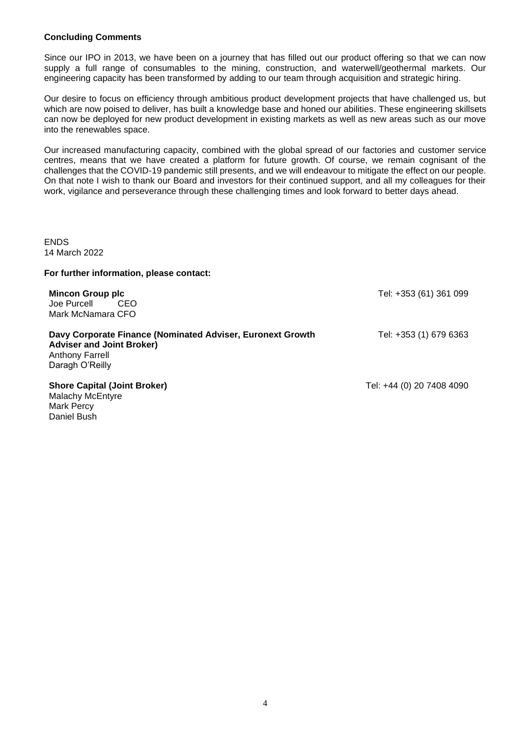#### **Concluding Comments**

Since our IPO in 2013, we have been on a journey that has filled out our product offering so that we can now supply a full range of consumables to the mining, construction, and waterwell/geothermal markets. Our engineering capacity has been transformed by adding to our team through acquisition and strategic hiring.

Our desire to focus on efficiency through ambitious product development projects that have challenged us, but which are now poised to deliver, has built a knowledge base and honed our abilities. These engineering skillsets can now be deployed for new product development in existing markets as well as new areas such as our move into the renewables space.

Our increased manufacturing capacity, combined with the global spread of our factories and customer service centres, means that we have created a platform for future growth. Of course, we remain cognisant of the challenges that the COVID-19 pandemic still presents, and we will endeavour to mitigate the effect on our people. On that note I wish to thank our Board and investors for their continued support, and all my colleagues for their work, vigilance and perseverance through these challenging times and look forward to better days ahead.

ENDS 14 March 2022

#### **For further information, please contact:**

| <b>Mincon Group plc</b><br>CEO<br>Joe Purcell<br>Mark McNamara CFO                                                                          | Tel: +353 (61) 361 099    |
|---------------------------------------------------------------------------------------------------------------------------------------------|---------------------------|
| Davy Corporate Finance (Nominated Adviser, Euronext Growth<br><b>Adviser and Joint Broker)</b><br><b>Anthony Farrell</b><br>Daragh O'Reilly | Tel: +353 (1) 679 6363    |
| <b>Shore Capital (Joint Broker)</b><br><b>Malachy McEntyre</b>                                                                              | Tel: +44 (0) 20 7408 4090 |

Mark Percy Daniel Bush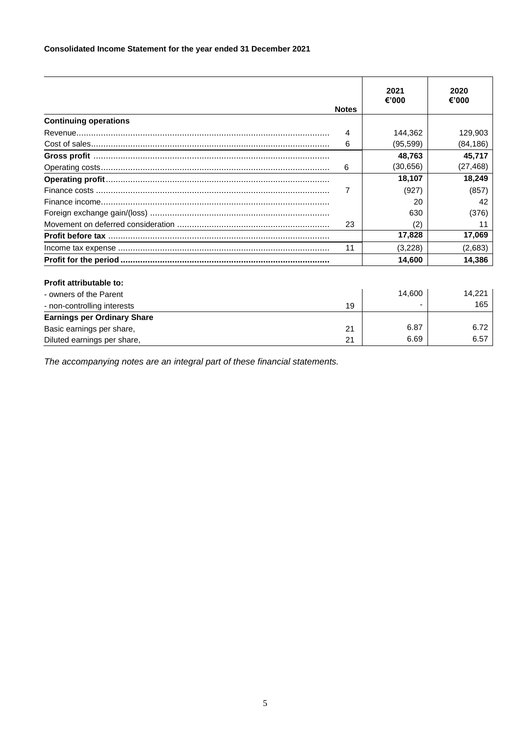## **Consolidated Income Statement for the year ended 31 December 2021**

|                                    |              | 2021<br>€'000 | 2020<br>€'000 |
|------------------------------------|--------------|---------------|---------------|
|                                    | <b>Notes</b> |               |               |
| <b>Continuing operations</b>       |              |               |               |
|                                    | 4            | 144.362       | 129.903       |
|                                    | 6            | (95, 599)     | (84, 186)     |
|                                    |              | 48,763        | 45,717        |
|                                    | 6            | (30, 656)     | (27, 468)     |
|                                    |              | 18,107        | 18,249        |
|                                    | 7            | (927)         | (857)         |
|                                    |              | 20            | 42            |
|                                    |              | 630           | (376)         |
|                                    | 23           | (2)           | 11            |
|                                    |              | 17,828        | 17,069        |
|                                    | 11           | (3,228)       | (2,683)       |
|                                    |              | 14,600        | 14,386        |
| Profit attributable to:            |              |               |               |
| - owners of the Parent             |              | 14,600        | 14.221        |
| - non-controlling interests        | 19           |               | 165           |
| <b>Earnings per Ordinary Share</b> |              |               |               |
| Basic earnings per share,          | 21           | 6.87          | 6.72          |
| Diluted earnings per share,        | 21           | 6.69          | 6.57          |

*The accompanying notes are an integral part of these financial statements.*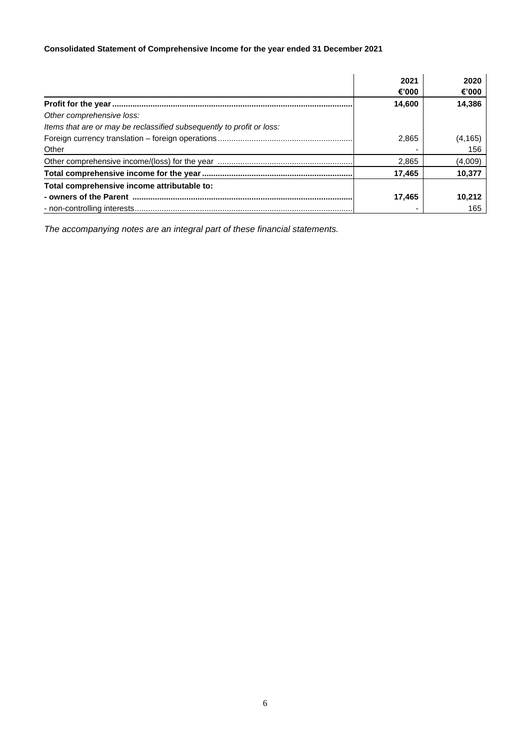## **Consolidated Statement of Comprehensive Income for the year ended 31 December 2021**

|                                                                       | 2021   | 2020    |
|-----------------------------------------------------------------------|--------|---------|
|                                                                       | €'000  | €'000   |
|                                                                       | 14.600 | 14,386  |
| Other comprehensive loss:                                             |        |         |
| Items that are or may be reclassified subsequently to profit or loss: |        |         |
|                                                                       | 2.865  | (4,165) |
| Other                                                                 |        | 156     |
|                                                                       | 2.865  | (4,009) |
|                                                                       | 17.465 | 10,377  |
| Total comprehensive income attributable to:                           |        |         |
|                                                                       | 17.465 | 10.212  |
|                                                                       |        | 165     |

*The accompanying notes are an integral part of these financial statements.*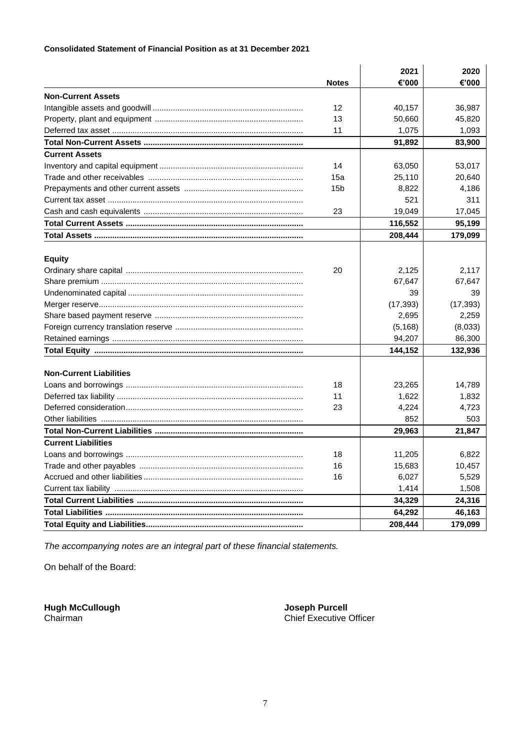## **Consolidated Statement of Financial Position as at 31 December 2021**

|                                | <b>Notes</b>    | 2021<br>€'000 | 2020<br>€'000 |
|--------------------------------|-----------------|---------------|---------------|
| <b>Non-Current Assets</b>      |                 |               |               |
|                                | 12              | 40,157        | 36,987        |
|                                | 13              | 50,660        | 45,820        |
|                                | 11              | 1,075         | 1,093         |
|                                |                 | 91,892        | 83,900        |
| <b>Current Assets</b>          |                 |               |               |
|                                | 14              | 63,050        | 53,017        |
|                                | 15a             | 25,110        | 20,640        |
|                                | 15 <sub>b</sub> | 8,822         | 4,186         |
|                                |                 | 521           | 311           |
|                                | 23              | 19,049        | 17,045        |
|                                |                 | 116,552       | 95,199        |
|                                |                 | 208,444       | 179,099       |
|                                |                 |               |               |
| <b>Equity</b>                  |                 |               |               |
|                                | 20              | 2,125         | 2,117         |
|                                |                 | 67,647        | 67,647        |
|                                |                 | 39            | 39            |
|                                |                 | (17, 393)     | (17, 393)     |
|                                |                 | 2,695         | 2,259         |
|                                |                 | (5, 168)      | (8,033)       |
|                                |                 | 94,207        | 86,300        |
|                                |                 | 144,152       | 132,936       |
|                                |                 |               |               |
| <b>Non-Current Liabilities</b> |                 |               |               |
|                                | 18              | 23,265        | 14,789        |
|                                | 11              | 1,622         | 1,832         |
|                                | 23              | 4,224         | 4,723         |
|                                |                 | 852           | 503           |
|                                |                 | 29,963        | 21,847        |
| <b>Current Liabilities</b>     |                 |               |               |
|                                | 18              | 11,205        | 6,822         |
|                                | 16              | 15,683        | 10,457        |
|                                | 16              | 6,027         | 5,529         |
|                                |                 | 1,414         | 1,508         |
|                                |                 | 34,329        | 24,316        |
|                                |                 | 64,292        | 46,163        |
|                                |                 | 208,444       | 179,099       |

*The accompanying notes are an integral part of these financial statements.*

On behalf of the Board:

**Hugh McCullough**<br>Chairman

Joseph Purcell<br>Chief Executive Officer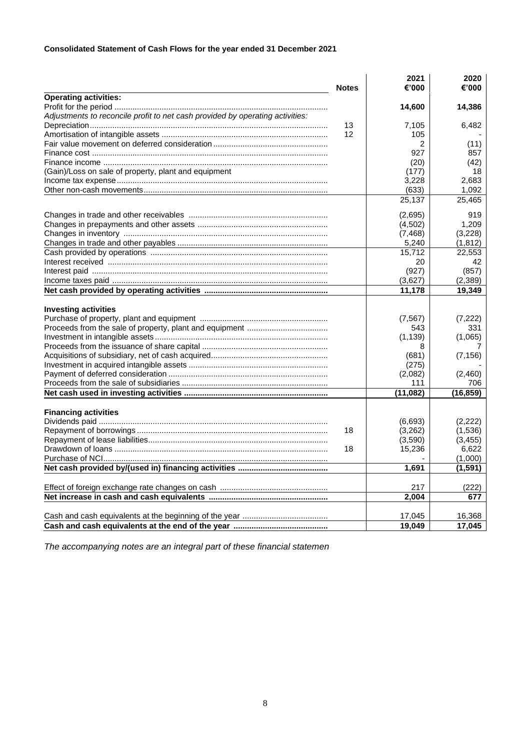## **Consolidated Statement of Cash Flows for the year ended 31 December 2021**

|                                                                               | <b>Notes</b> | 2021<br>€'000 | 2020<br>€'000 |
|-------------------------------------------------------------------------------|--------------|---------------|---------------|
| <b>Operating activities:</b>                                                  |              |               |               |
|                                                                               |              | 14,600        | 14,386        |
| Adjustments to reconcile profit to net cash provided by operating activities: |              |               |               |
|                                                                               | 13           | 7,105         | 6.482         |
|                                                                               | 12           | 105           |               |
|                                                                               |              | 2             | (11)          |
|                                                                               |              | 927           | 857           |
|                                                                               |              | (20)          | (42)          |
| (Gain)/Loss on sale of property, plant and equipment                          |              | (177)         | 18            |
|                                                                               |              | 3,228         | 2,683         |
|                                                                               |              | (633)         | 1,092         |
|                                                                               |              | 25,137        | 25,465        |
|                                                                               |              | (2,695)       | 919           |
|                                                                               |              | (4,502)       | 1,209         |
|                                                                               |              | (7, 468)      | (3,228)       |
|                                                                               |              | 5,240         | (1, 812)      |
|                                                                               |              | 15,712        | 22,553        |
|                                                                               |              | 20            | 42            |
|                                                                               |              | (927)         | (857)         |
|                                                                               |              |               |               |
|                                                                               |              | (3,627)       | (2,389)       |
|                                                                               |              | 11,178        | 19,349        |
| <b>Investing activities</b>                                                   |              |               |               |
|                                                                               |              |               | (7,222)       |
|                                                                               |              | (7, 567)      |               |
|                                                                               |              | 543           | 331           |
|                                                                               |              | (1, 139)      | (1,065)       |
|                                                                               |              | 8             |               |
|                                                                               |              | (681)         | (7, 156)      |
|                                                                               |              | (275)         |               |
|                                                                               |              | (2,082)       | (2,460)       |
|                                                                               |              | 111           | 706           |
|                                                                               |              | (11, 082)     | (16, 859)     |
| <b>Financing activities</b>                                                   |              |               |               |
|                                                                               |              | (6,693)       | (2, 222)      |
|                                                                               | 18           | (3,262)       | (1,536)       |
|                                                                               |              | (3,590)       | (3, 455)      |
|                                                                               | 18           | 15,236        | 6,622         |
|                                                                               |              |               | (1,000)       |
|                                                                               |              | 1,691         | (1, 591)      |
|                                                                               |              | 217           | (222)         |
|                                                                               |              | 2,004         | 677           |
|                                                                               |              |               |               |
|                                                                               |              | 17,045        | 16,368        |
|                                                                               |              | 19,049        | 17,045        |

*The accompanying notes are an integral part of these financial statemen*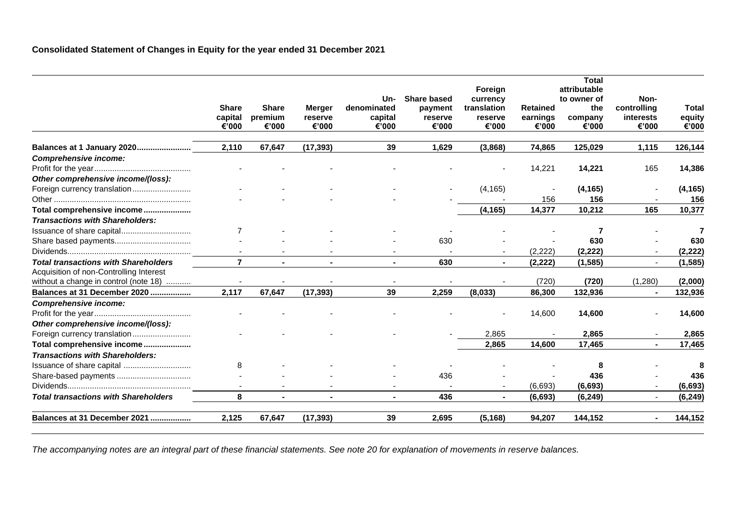## **Consolidated Statement of Changes in Equity for the year ended 31 December 2021**

|                                             |                |              |               |                          |                    | Foreign        |                 | <b>Total</b><br>attributable |             |              |
|---------------------------------------------|----------------|--------------|---------------|--------------------------|--------------------|----------------|-----------------|------------------------------|-------------|--------------|
|                                             |                |              |               | Un-                      | <b>Share based</b> | currency       |                 | to owner of                  | Non-        |              |
|                                             | <b>Share</b>   | <b>Share</b> | <b>Merger</b> | denominated              | payment            | translation    | <b>Retained</b> | the                          | controlling | <b>Total</b> |
|                                             | capital        | premium      | reserve       | capital                  | reserve            | reserve        | earnings        | company                      | interests   | equity       |
|                                             | €'000          | €'000        | €'000         | €'000                    | €'000              | €'000          | €'000           | €'000                        | €'000       | €'000        |
| Balances at 1 January 2020                  | 2.110          | 67.647       | (17, 393)     | 39                       | 1.629              | (3,868)        | 74.865          | 125,029                      | 1,115       | 126,144      |
| <b>Comprehensive income:</b>                |                |              |               |                          |                    |                |                 |                              |             |              |
|                                             |                |              |               |                          |                    |                | 14,221          | 14,221                       | 165         | 14,386       |
| Other comprehensive income/(loss):          |                |              |               |                          |                    |                |                 |                              |             |              |
|                                             |                |              |               |                          |                    | (4, 165)       |                 | (4, 165)                     |             | (4, 165)     |
|                                             |                |              |               |                          |                    |                | 156             | 156                          |             | 156          |
| Total comprehensive income                  |                |              |               |                          |                    | (4, 165)       | 14,377          | 10,212                       | 165         | 10,377       |
| <b>Transactions with Shareholders:</b>      |                |              |               |                          |                    |                |                 |                              |             |              |
| Issuance of share capital                   | $\overline{7}$ |              |               |                          |                    |                |                 | 7                            |             |              |
|                                             |                |              |               |                          | 630                |                |                 | 630                          |             | 630          |
|                                             |                |              |               |                          |                    |                | (2,222)         | (2, 222)                     |             | (2, 222)     |
| <b>Total transactions with Shareholders</b> | $\overline{7}$ |              |               |                          | 630                | $\blacksquare$ | (2, 222)        | (1, 585)                     |             | (1, 585)     |
| Acquisition of non-Controlling Interest     |                |              |               |                          |                    |                |                 |                              |             |              |
| without a change in control (note 18)       |                |              |               |                          |                    |                | (720)           | (720)                        | (1,280)     | (2,000)      |
| Balances at 31 December 2020                | 2,117          | 67,647       | (17, 393)     | 39                       | 2,259              | (8,033)        | 86,300          | 132,936                      |             | 132,936      |
| <b>Comprehensive income:</b>                |                |              |               |                          |                    |                |                 |                              |             |              |
|                                             |                |              |               |                          |                    |                | 14,600          | 14,600                       |             | 14,600       |
| Other comprehensive income/(loss):          |                |              |               |                          |                    |                |                 |                              |             |              |
| Foreign currency translation                |                |              |               |                          |                    | 2,865          |                 | 2,865                        |             | 2,865        |
| Total comprehensive income                  |                |              |               |                          |                    | 2,865          | 14,600          | 17,465                       |             | 17,465       |
| <b>Transactions with Shareholders:</b>      |                |              |               |                          |                    |                |                 |                              |             |              |
| Issuance of share capital                   | 8              |              |               |                          |                    |                |                 | 8                            |             | 8            |
| Share-based payments                        |                |              |               |                          | 436                |                |                 | 436                          |             | 436          |
|                                             |                |              |               | $\overline{\phantom{a}}$ |                    |                | (6, 693)        | (6, 693)                     |             | (6, 693)     |
| <b>Total transactions with Shareholders</b> | 8              |              |               | $\blacksquare$           | 436                | $\blacksquare$ | (6, 693)        | (6, 249)                     |             | (6, 249)     |
| Balances at 31 December 2021                | 2,125          | 67,647       | (17, 393)     | 39                       | 2,695              | (5, 168)       | 94,207          | 144,152                      |             | 144,152      |

*The accompanying notes are an integral part of these financial statements. See note 20 for explanation of movements in reserve balances.*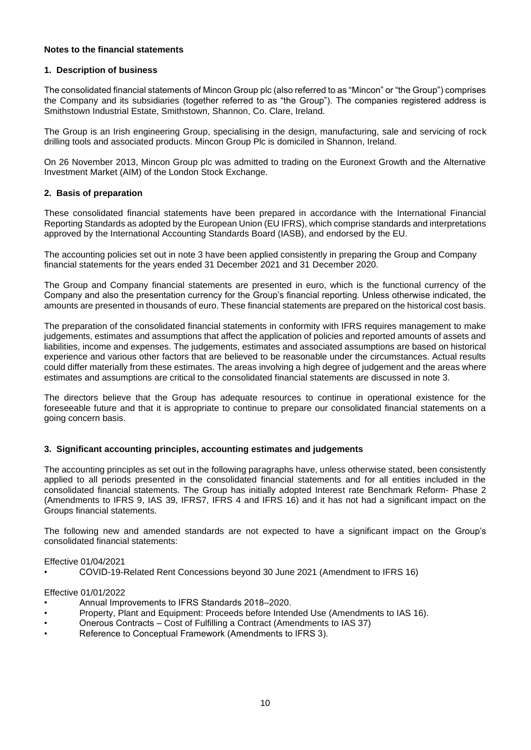## **Notes to the financial statements**

## **1. Description of business**

The consolidated financial statements of Mincon Group plc (also referred to as "Mincon" or "the Group") comprises the Company and its subsidiaries (together referred to as "the Group"). The companies registered address is Smithstown Industrial Estate, Smithstown, Shannon, Co. Clare, Ireland.

The Group is an Irish engineering Group, specialising in the design, manufacturing, sale and servicing of rock drilling tools and associated products. Mincon Group Plc is domiciled in Shannon, Ireland.

On 26 November 2013, Mincon Group plc was admitted to trading on the Euronext Growth and the Alternative Investment Market (AIM) of the London Stock Exchange.

## **2. Basis of preparation**

These consolidated financial statements have been prepared in accordance with the International Financial Reporting Standards as adopted by the European Union (EU IFRS), which comprise standards and interpretations approved by the International Accounting Standards Board (IASB), and endorsed by the EU.

The accounting policies set out in note 3 have been applied consistently in preparing the Group and Company financial statements for the years ended 31 December 2021 and 31 December 2020.

The Group and Company financial statements are presented in euro, which is the functional currency of the Company and also the presentation currency for the Group's financial reporting. Unless otherwise indicated, the amounts are presented in thousands of euro. These financial statements are prepared on the historical cost basis.

The preparation of the consolidated financial statements in conformity with IFRS requires management to make judgements, estimates and assumptions that affect the application of policies and reported amounts of assets and liabilities, income and expenses. The judgements, estimates and associated assumptions are based on historical experience and various other factors that are believed to be reasonable under the circumstances. Actual results could differ materially from these estimates. The areas involving a high degree of judgement and the areas where estimates and assumptions are critical to the consolidated financial statements are discussed in note 3.

The directors believe that the Group has adequate resources to continue in operational existence for the foreseeable future and that it is appropriate to continue to prepare our consolidated financial statements on a going concern basis.

## **3. Significant accounting principles, accounting estimates and judgements**

The accounting principles as set out in the following paragraphs have, unless otherwise stated, been consistently applied to all periods presented in the consolidated financial statements and for all entities included in the consolidated financial statements. The Group has initially adopted Interest rate Benchmark Reform- Phase 2 (Amendments to IFRS 9, IAS 39, IFRS7, IFRS 4 and IFRS 16) and it has not had a significant impact on the Groups financial statements.

The following new and amended standards are not expected to have a significant impact on the Group's consolidated financial statements:

#### Effective 01/04/2021

• COVID-19-Related Rent Concessions beyond 30 June 2021 (Amendment to IFRS 16)

#### Effective 01/01/2022

- Annual Improvements to IFRS Standards 2018–2020.
- Property, Plant and Equipment: Proceeds before Intended Use (Amendments to IAS 16).
- Onerous Contracts Cost of Fulfilling a Contract (Amendments to IAS 37)
- Reference to Conceptual Framework (Amendments to IFRS 3).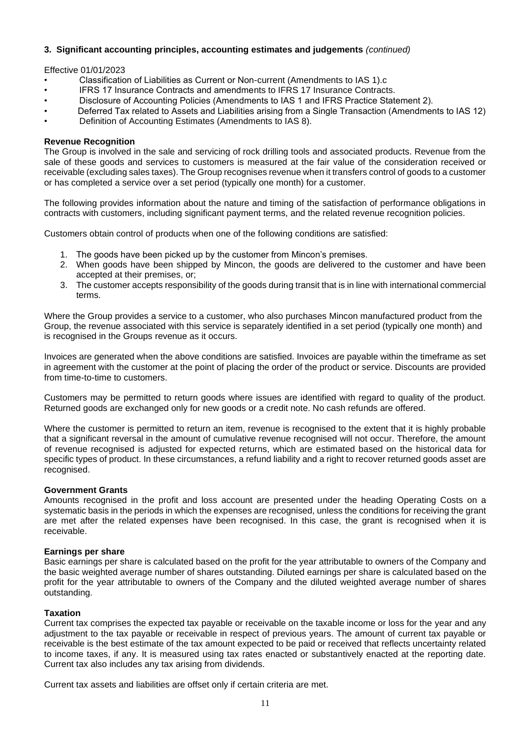#### Effective 01/01/2023

- Classification of Liabilities as Current or Non-current (Amendments to IAS 1).c
- IFRS 17 Insurance Contracts and amendments to IFRS 17 Insurance Contracts.
- Disclosure of Accounting Policies (Amendments to IAS 1 and IFRS Practice Statement 2).
- Deferred Tax related to Assets and Liabilities arising from a Single Transaction (Amendments to IAS 12)
- Definition of Accounting Estimates (Amendments to IAS 8).

#### **Revenue Recognition**

The Group is involved in the sale and servicing of rock drilling tools and associated products. Revenue from the sale of these goods and services to customers is measured at the fair value of the consideration received or receivable (excluding sales taxes). The Group recognises revenue when it transfers control of goods to a customer or has completed a service over a set period (typically one month) for a customer.

The following provides information about the nature and timing of the satisfaction of performance obligations in contracts with customers, including significant payment terms, and the related revenue recognition policies.

Customers obtain control of products when one of the following conditions are satisfied:

- 1. The goods have been picked up by the customer from Mincon's premises.
- 2. When goods have been shipped by Mincon, the goods are delivered to the customer and have been accepted at their premises, or;
- 3. The customer accepts responsibility of the goods during transit that is in line with international commercial terms.

Where the Group provides a service to a customer, who also purchases Mincon manufactured product from the Group, the revenue associated with this service is separately identified in a set period (typically one month) and is recognised in the Groups revenue as it occurs.

Invoices are generated when the above conditions are satisfied. Invoices are payable within the timeframe as set in agreement with the customer at the point of placing the order of the product or service. Discounts are provided from time-to-time to customers.

Customers may be permitted to return goods where issues are identified with regard to quality of the product. Returned goods are exchanged only for new goods or a credit note. No cash refunds are offered.

Where the customer is permitted to return an item, revenue is recognised to the extent that it is highly probable that a significant reversal in the amount of cumulative revenue recognised will not occur. Therefore, the amount of revenue recognised is adjusted for expected returns, which are estimated based on the historical data for specific types of product. In these circumstances, a refund liability and a right to recover returned goods asset are recognised.

## **Government Grants**

Amounts recognised in the profit and loss account are presented under the heading Operating Costs on a systematic basis in the periods in which the expenses are recognised, unless the conditions for receiving the grant are met after the related expenses have been recognised. In this case, the grant is recognised when it is receivable.

#### **Earnings per share**

Basic earnings per share is calculated based on the profit for the year attributable to owners of the Company and the basic weighted average number of shares outstanding. Diluted earnings per share is calculated based on the profit for the year attributable to owners of the Company and the diluted weighted average number of shares outstanding.

## **Taxation**

Current tax comprises the expected tax payable or receivable on the taxable income or loss for the year and any adjustment to the tax payable or receivable in respect of previous years. The amount of current tax payable or receivable is the best estimate of the tax amount expected to be paid or received that reflects uncertainty related to income taxes, if any. It is measured using tax rates enacted or substantively enacted at the reporting date. Current tax also includes any tax arising from dividends.

Current tax assets and liabilities are offset only if certain criteria are met.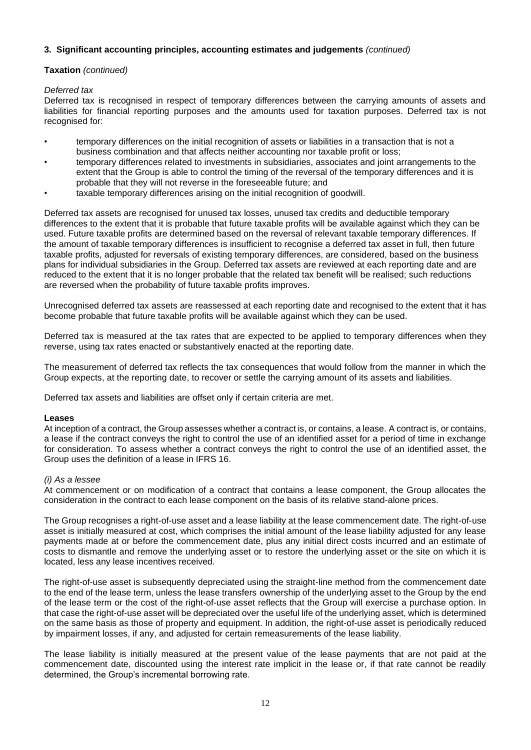## **Taxation** *(continued)*

### *Deferred tax*

Deferred tax is recognised in respect of temporary differences between the carrying amounts of assets and liabilities for financial reporting purposes and the amounts used for taxation purposes. Deferred tax is not recognised for:

- temporary differences on the initial recognition of assets or liabilities in a transaction that is not a business combination and that affects neither accounting nor taxable profit or loss;
- temporary differences related to investments in subsidiaries, associates and joint arrangements to the extent that the Group is able to control the timing of the reversal of the temporary differences and it is probable that they will not reverse in the foreseeable future; and
- taxable temporary differences arising on the initial recognition of goodwill.

Deferred tax assets are recognised for unused tax losses, unused tax credits and deductible temporary differences to the extent that it is probable that future taxable profits will be available against which they can be used. Future taxable profits are determined based on the reversal of relevant taxable temporary differences. If the amount of taxable temporary differences is insufficient to recognise a deferred tax asset in full, then future taxable profits, adjusted for reversals of existing temporary differences, are considered, based on the business plans for individual subsidiaries in the Group. Deferred tax assets are reviewed at each reporting date and are reduced to the extent that it is no longer probable that the related tax benefit will be realised; such reductions are reversed when the probability of future taxable profits improves.

Unrecognised deferred tax assets are reassessed at each reporting date and recognised to the extent that it has become probable that future taxable profits will be available against which they can be used.

Deferred tax is measured at the tax rates that are expected to be applied to temporary differences when they reverse, using tax rates enacted or substantively enacted at the reporting date.

The measurement of deferred tax reflects the tax consequences that would follow from the manner in which the Group expects, at the reporting date, to recover or settle the carrying amount of its assets and liabilities.

Deferred tax assets and liabilities are offset only if certain criteria are met.

#### **Leases**

At inception of a contract, the Group assesses whether a contract is, or contains, a lease. A contract is, or contains, a lease if the contract conveys the right to control the use of an identified asset for a period of time in exchange for consideration. To assess whether a contract conveys the right to control the use of an identified asset, the Group uses the definition of a lease in IFRS 16.

#### *(i) As a lessee*

At commencement or on modification of a contract that contains a lease component, the Group allocates the consideration in the contract to each lease component on the basis of its relative stand-alone prices.

The Group recognises a right-of-use asset and a lease liability at the lease commencement date. The right-of-use asset is initially measured at cost, which comprises the initial amount of the lease liability adjusted for any lease payments made at or before the commencement date, plus any initial direct costs incurred and an estimate of costs to dismantle and remove the underlying asset or to restore the underlying asset or the site on which it is located, less any lease incentives received.

The right-of-use asset is subsequently depreciated using the straight-line method from the commencement date to the end of the lease term, unless the lease transfers ownership of the underlying asset to the Group by the end of the lease term or the cost of the right-of-use asset reflects that the Group will exercise a purchase option. In that case the right-of-use asset will be depreciated over the useful life of the underlying asset, which is determined on the same basis as those of property and equipment. In addition, the right-of-use asset is periodically reduced by impairment losses, if any, and adjusted for certain remeasurements of the lease liability.

The lease liability is initially measured at the present value of the lease payments that are not paid at the commencement date, discounted using the interest rate implicit in the lease or, if that rate cannot be readily determined, the Group's incremental borrowing rate.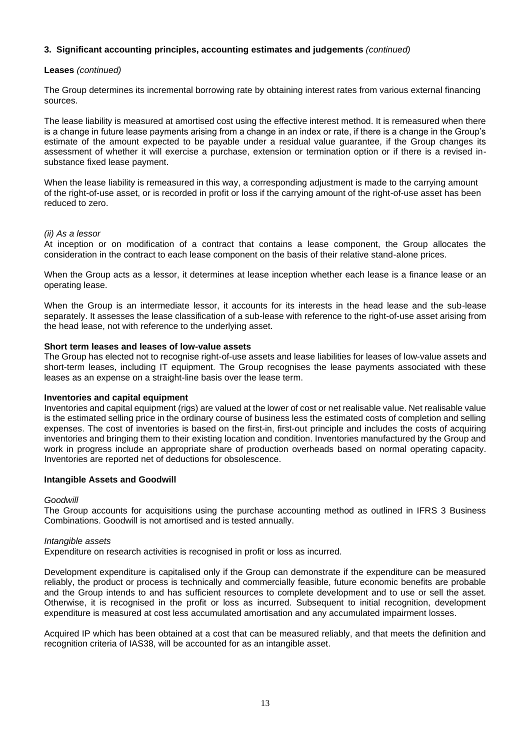#### **Leases** *(continued)*

The Group determines its incremental borrowing rate by obtaining interest rates from various external financing sources.

The lease liability is measured at amortised cost using the effective interest method. It is remeasured when there is a change in future lease payments arising from a change in an index or rate, if there is a change in the Group's estimate of the amount expected to be payable under a residual value guarantee, if the Group changes its assessment of whether it will exercise a purchase, extension or termination option or if there is a revised insubstance fixed lease payment.

When the lease liability is remeasured in this way, a corresponding adjustment is made to the carrying amount of the right-of-use asset, or is recorded in profit or loss if the carrying amount of the right-of-use asset has been reduced to zero.

#### *(ii) As a lessor*

At inception or on modification of a contract that contains a lease component, the Group allocates the consideration in the contract to each lease component on the basis of their relative stand-alone prices.

When the Group acts as a lessor, it determines at lease inception whether each lease is a finance lease or an operating lease.

When the Group is an intermediate lessor, it accounts for its interests in the head lease and the sub-lease separately. It assesses the lease classification of a sub-lease with reference to the right-of-use asset arising from the head lease, not with reference to the underlying asset.

#### **Short term leases and leases of low-value assets**

The Group has elected not to recognise right-of-use assets and lease liabilities for leases of low-value assets and short-term leases, including IT equipment. The Group recognises the lease payments associated with these leases as an expense on a straight-line basis over the lease term.

#### **Inventories and capital equipment**

Inventories and capital equipment (rigs) are valued at the lower of cost or net realisable value. Net realisable value is the estimated selling price in the ordinary course of business less the estimated costs of completion and selling expenses. The cost of inventories is based on the first-in, first-out principle and includes the costs of acquiring inventories and bringing them to their existing location and condition. Inventories manufactured by the Group and work in progress include an appropriate share of production overheads based on normal operating capacity. Inventories are reported net of deductions for obsolescence.

#### **Intangible Assets and Goodwill**

#### *Goodwill*

The Group accounts for acquisitions using the purchase accounting method as outlined in IFRS 3 Business Combinations. Goodwill is not amortised and is tested annually.

#### *Intangible assets*

Expenditure on research activities is recognised in profit or loss as incurred.

Development expenditure is capitalised only if the Group can demonstrate if the expenditure can be measured reliably, the product or process is technically and commercially feasible, future economic benefits are probable and the Group intends to and has sufficient resources to complete development and to use or sell the asset. Otherwise, it is recognised in the profit or loss as incurred. Subsequent to initial recognition, development expenditure is measured at cost less accumulated amortisation and any accumulated impairment losses.

Acquired IP which has been obtained at a cost that can be measured reliably, and that meets the definition and recognition criteria of IAS38, will be accounted for as an intangible asset.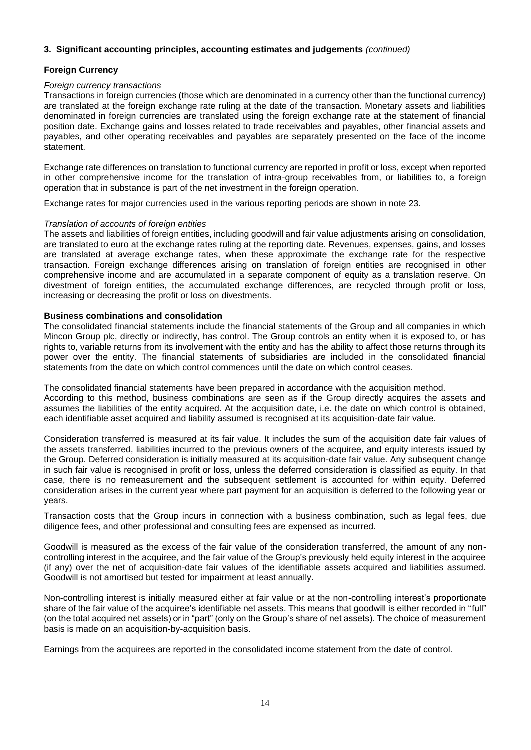#### **Foreign Currency**

#### *Foreign currency transactions*

Transactions in foreign currencies (those which are denominated in a currency other than the functional currency) are translated at the foreign exchange rate ruling at the date of the transaction. Monetary assets and liabilities denominated in foreign currencies are translated using the foreign exchange rate at the statement of financial position date. Exchange gains and losses related to trade receivables and payables, other financial assets and payables, and other operating receivables and payables are separately presented on the face of the income statement.

Exchange rate differences on translation to functional currency are reported in profit or loss, except when reported in other comprehensive income for the translation of intra-group receivables from, or liabilities to, a foreign operation that in substance is part of the net investment in the foreign operation.

Exchange rates for major currencies used in the various reporting periods are shown in note 23.

#### *Translation of accounts of foreign entities*

The assets and liabilities of foreign entities, including goodwill and fair value adjustments arising on consolidation, are translated to euro at the exchange rates ruling at the reporting date. Revenues, expenses, gains, and losses are translated at average exchange rates, when these approximate the exchange rate for the respective transaction. Foreign exchange differences arising on translation of foreign entities are recognised in other comprehensive income and are accumulated in a separate component of equity as a translation reserve. On divestment of foreign entities, the accumulated exchange differences, are recycled through profit or loss, increasing or decreasing the profit or loss on divestments.

### **Business combinations and consolidation**

The consolidated financial statements include the financial statements of the Group and all companies in which Mincon Group plc, directly or indirectly, has control. The Group controls an entity when it is exposed to, or has rights to, variable returns from its involvement with the entity and has the ability to affect those returns through its power over the entity. The financial statements of subsidiaries are included in the consolidated financial statements from the date on which control commences until the date on which control ceases.

The consolidated financial statements have been prepared in accordance with the acquisition method. According to this method, business combinations are seen as if the Group directly acquires the assets and assumes the liabilities of the entity acquired. At the acquisition date, i.e. the date on which control is obtained, each identifiable asset acquired and liability assumed is recognised at its acquisition-date fair value.

Consideration transferred is measured at its fair value. It includes the sum of the acquisition date fair values of the assets transferred, liabilities incurred to the previous owners of the acquiree, and equity interests issued by the Group. Deferred consideration is initially measured at its acquisition-date fair value. Any subsequent change in such fair value is recognised in profit or loss, unless the deferred consideration is classified as equity. In that case, there is no remeasurement and the subsequent settlement is accounted for within equity. Deferred consideration arises in the current year where part payment for an acquisition is deferred to the following year or years.

Transaction costs that the Group incurs in connection with a business combination, such as legal fees, due diligence fees, and other professional and consulting fees are expensed as incurred.

Goodwill is measured as the excess of the fair value of the consideration transferred, the amount of any noncontrolling interest in the acquiree, and the fair value of the Group's previously held equity interest in the acquiree (if any) over the net of acquisition-date fair values of the identifiable assets acquired and liabilities assumed. Goodwill is not amortised but tested for impairment at least annually.

Non-controlling interest is initially measured either at fair value or at the non-controlling interest's proportionate share of the fair value of the acquiree's identifiable net assets. This means that goodwill is either recorded in "full" (on the total acquired net assets) or in "part" (only on the Group's share of net assets). The choice of measurement basis is made on an acquisition-by-acquisition basis.

Earnings from the acquirees are reported in the consolidated income statement from the date of control.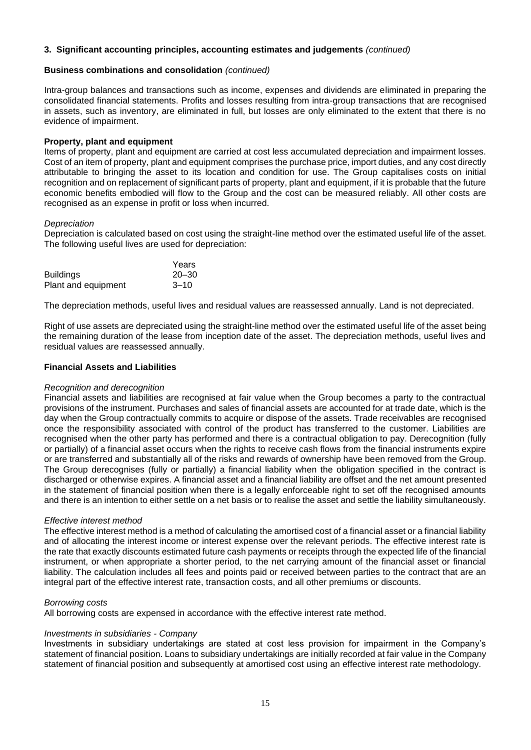#### **Business combinations and consolidation** *(continued)*

Intra-group balances and transactions such as income, expenses and dividends are eliminated in preparing the consolidated financial statements. Profits and losses resulting from intra-group transactions that are recognised in assets, such as inventory, are eliminated in full, but losses are only eliminated to the extent that there is no evidence of impairment.

#### **Property, plant and equipment**

Items of property, plant and equipment are carried at cost less accumulated depreciation and impairment losses. Cost of an item of property, plant and equipment comprises the purchase price, import duties, and any cost directly attributable to bringing the asset to its location and condition for use. The Group capitalises costs on initial recognition and on replacement of significant parts of property, plant and equipment, if it is probable that the future economic benefits embodied will flow to the Group and the cost can be measured reliably. All other costs are recognised as an expense in profit or loss when incurred.

#### *Depreciation*

Depreciation is calculated based on cost using the straight-line method over the estimated useful life of the asset. The following useful lives are used for depreciation:

|                     | Years     |
|---------------------|-----------|
| <b>Buildings</b>    | $20 - 30$ |
| Plant and equipment | $3 - 10$  |

The depreciation methods, useful lives and residual values are reassessed annually. Land is not depreciated.

Right of use assets are depreciated using the straight-line method over the estimated useful life of the asset being the remaining duration of the lease from inception date of the asset. The depreciation methods, useful lives and residual values are reassessed annually.

#### **Financial Assets and Liabilities**

#### *Recognition and derecognition*

Financial assets and liabilities are recognised at fair value when the Group becomes a party to the contractual provisions of the instrument. Purchases and sales of financial assets are accounted for at trade date, which is the day when the Group contractually commits to acquire or dispose of the assets. Trade receivables are recognised once the responsibility associated with control of the product has transferred to the customer. Liabilities are recognised when the other party has performed and there is a contractual obligation to pay. Derecognition (fully or partially) of a financial asset occurs when the rights to receive cash flows from the financial instruments expire or are transferred and substantially all of the risks and rewards of ownership have been removed from the Group. The Group derecognises (fully or partially) a financial liability when the obligation specified in the contract is discharged or otherwise expires. A financial asset and a financial liability are offset and the net amount presented in the statement of financial position when there is a legally enforceable right to set off the recognised amounts and there is an intention to either settle on a net basis or to realise the asset and settle the liability simultaneously.

#### *Effective interest method*

The effective interest method is a method of calculating the amortised cost of a financial asset or a financial liability and of allocating the interest income or interest expense over the relevant periods. The effective interest rate is the rate that exactly discounts estimated future cash payments or receipts through the expected life of the financial instrument, or when appropriate a shorter period, to the net carrying amount of the financial asset or financial liability. The calculation includes all fees and points paid or received between parties to the contract that are an integral part of the effective interest rate, transaction costs, and all other premiums or discounts.

#### *Borrowing costs*

All borrowing costs are expensed in accordance with the effective interest rate method.

#### *Investments in subsidiaries - Company*

Investments in subsidiary undertakings are stated at cost less provision for impairment in the Company's statement of financial position. Loans to subsidiary undertakings are initially recorded at fair value in the Company statement of financial position and subsequently at amortised cost using an effective interest rate methodology.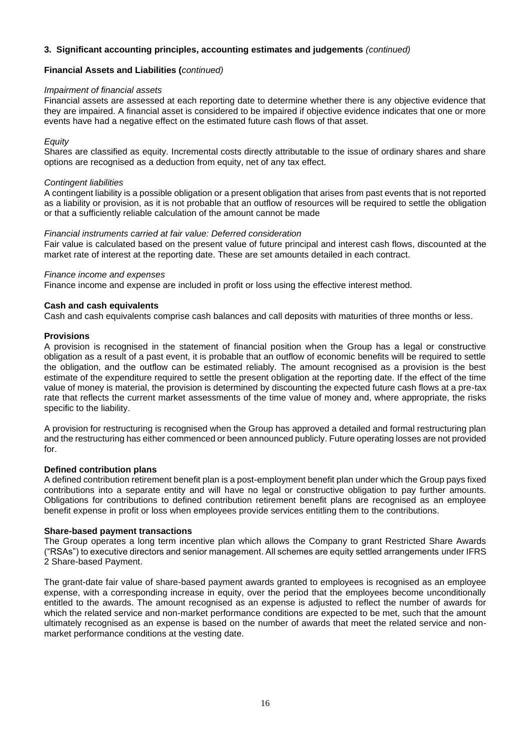### **Financial Assets and Liabilities (***continued)*

#### *Impairment of financial assets*

Financial assets are assessed at each reporting date to determine whether there is any objective evidence that they are impaired. A financial asset is considered to be impaired if objective evidence indicates that one or more events have had a negative effect on the estimated future cash flows of that asset.

#### *Equity*

Shares are classified as equity. Incremental costs directly attributable to the issue of ordinary shares and share options are recognised as a deduction from equity, net of any tax effect.

#### *Contingent liabilities*

A contingent liability is a possible obligation or a present obligation that arises from past events that is not reported as a liability or provision, as it is not probable that an outflow of resources will be required to settle the obligation or that a sufficiently reliable calculation of the amount cannot be made

#### *Financial instruments carried at fair value: Deferred consideration*

Fair value is calculated based on the present value of future principal and interest cash flows, discounted at the market rate of interest at the reporting date. These are set amounts detailed in each contract.

#### *Finance income and expenses*

Finance income and expense are included in profit or loss using the effective interest method.

#### **Cash and cash equivalents**

Cash and cash equivalents comprise cash balances and call deposits with maturities of three months or less*.* 

#### **Provisions**

A provision is recognised in the statement of financial position when the Group has a legal or constructive obligation as a result of a past event, it is probable that an outflow of economic benefits will be required to settle the obligation, and the outflow can be estimated reliably. The amount recognised as a provision is the best estimate of the expenditure required to settle the present obligation at the reporting date. If the effect of the time value of money is material, the provision is determined by discounting the expected future cash flows at a pre-tax rate that reflects the current market assessments of the time value of money and, where appropriate, the risks specific to the liability.

A provision for restructuring is recognised when the Group has approved a detailed and formal restructuring plan and the restructuring has either commenced or been announced publicly. Future operating losses are not provided for.

#### **Defined contribution plans**

A defined contribution retirement benefit plan is a post-employment benefit plan under which the Group pays fixed contributions into a separate entity and will have no legal or constructive obligation to pay further amounts. Obligations for contributions to defined contribution retirement benefit plans are recognised as an employee benefit expense in profit or loss when employees provide services entitling them to the contributions.

#### **Share-based payment transactions**

The Group operates a long term incentive plan which allows the Company to grant Restricted Share Awards ("RSAs") to executive directors and senior management. All schemes are equity settled arrangements under IFRS 2 Share-based Payment.

The grant-date fair value of share-based payment awards granted to employees is recognised as an employee expense, with a corresponding increase in equity, over the period that the employees become unconditionally entitled to the awards. The amount recognised as an expense is adjusted to reflect the number of awards for which the related service and non-market performance conditions are expected to be met, such that the amount ultimately recognised as an expense is based on the number of awards that meet the related service and nonmarket performance conditions at the vesting date.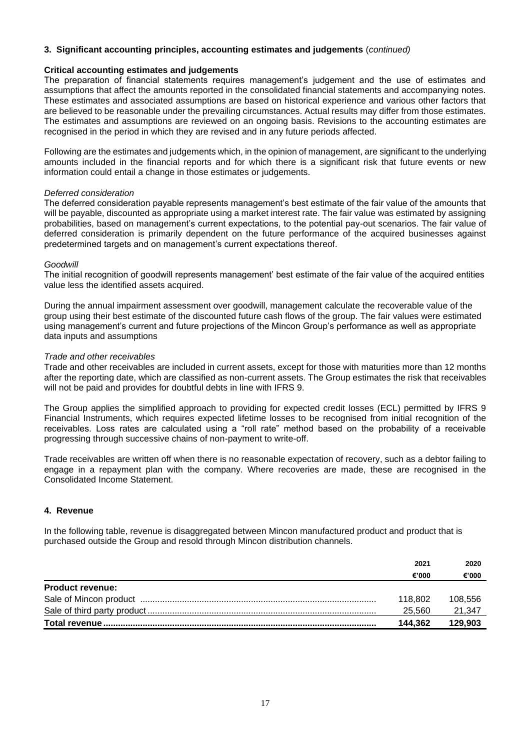#### **Critical accounting estimates and judgements**

The preparation of financial statements requires management's judgement and the use of estimates and assumptions that affect the amounts reported in the consolidated financial statements and accompanying notes. These estimates and associated assumptions are based on historical experience and various other factors that are believed to be reasonable under the prevailing circumstances. Actual results may differ from those estimates. The estimates and assumptions are reviewed on an ongoing basis. Revisions to the accounting estimates are recognised in the period in which they are revised and in any future periods affected.

Following are the estimates and judgements which, in the opinion of management, are significant to the underlying amounts included in the financial reports and for which there is a significant risk that future events or new information could entail a change in those estimates or judgements.

#### *Deferred consideration*

The deferred consideration payable represents management's best estimate of the fair value of the amounts that will be payable, discounted as appropriate using a market interest rate. The fair value was estimated by assigning probabilities, based on management's current expectations, to the potential pay-out scenarios. The fair value of deferred consideration is primarily dependent on the future performance of the acquired businesses against predetermined targets and on management's current expectations thereof.

#### *Goodwill*

The initial recognition of goodwill represents management' best estimate of the fair value of the acquired entities value less the identified assets acquired.

During the annual impairment assessment over goodwill, management calculate the recoverable value of the group using their best estimate of the discounted future cash flows of the group. The fair values were estimated using management's current and future projections of the Mincon Group's performance as well as appropriate data inputs and assumptions

#### *Trade and other receivables*

Trade and other receivables are included in current assets, except for those with maturities more than 12 months after the reporting date, which are classified as non-current assets. The Group estimates the risk that receivables will not be paid and provides for doubtful debts in line with IFRS 9.

The Group applies the simplified approach to providing for expected credit losses (ECL) permitted by IFRS 9 Financial Instruments, which requires expected lifetime losses to be recognised from initial recognition of the receivables. Loss rates are calculated using a "roll rate" method based on the probability of a receivable progressing through successive chains of non-payment to write-off.

Trade receivables are written off when there is no reasonable expectation of recovery, such as a debtor failing to engage in a repayment plan with the company. Where recoveries are made, these are recognised in the Consolidated Income Statement.

## **4. Revenue**

In the following table, revenue is disaggregated between Mincon manufactured product and product that is purchased outside the Group and resold through Mincon distribution channels.

|                         | 2021    | 2020    |
|-------------------------|---------|---------|
|                         | €'000   | €'000   |
| <b>Product revenue:</b> |         |         |
|                         | 118.802 | 108.556 |
|                         | 25.560  | 21.347  |
|                         | 144.362 | 129.903 |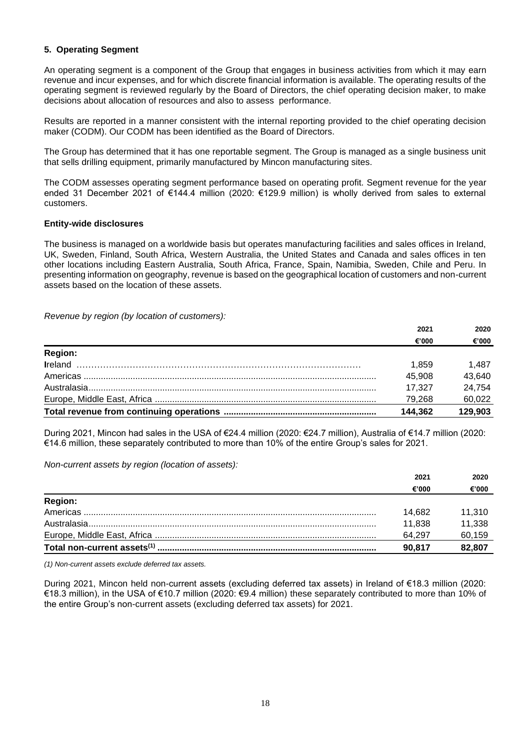## **5. Operating Segment**

An operating segment is a component of the Group that engages in business activities from which it may earn revenue and incur expenses, and for which discrete financial information is available. The operating results of the operating segment is reviewed regularly by the Board of Directors, the chief operating decision maker, to make decisions about allocation of resources and also to assess performance.

Results are reported in a manner consistent with the internal reporting provided to the chief operating decision maker (CODM). Our CODM has been identified as the Board of Directors.

The Group has determined that it has one reportable segment. The Group is managed as a single business unit that sells drilling equipment, primarily manufactured by Mincon manufacturing sites.

The CODM assesses operating segment performance based on operating profit. Segment revenue for the year ended 31 December 2021 of €144.4 million (2020: €129.9 million) is wholly derived from sales to external customers.

#### **Entity-wide disclosures**

The business is managed on a worldwide basis but operates manufacturing facilities and sales offices in Ireland, UK, Sweden, Finland, South Africa, Western Australia, the United States and Canada and sales offices in ten other locations including Eastern Australia, South Africa, France, Spain, Namibia, Sweden, Chile and Peru. In presenting information on geography, revenue is based on the geographical location of customers and non-current assets based on the location of these assets.

*Revenue by region (by location of customers):*

|                | 2021    | 2020    |
|----------------|---------|---------|
|                | €'000   | €'000   |
| <b>Region:</b> |         |         |
|                | 1.859   | 1.487   |
|                | 45,908  | 43,640  |
|                | 17,327  | 24,754  |
|                | 79,268  | 60,022  |
|                | 144,362 | 129,903 |

During 2021, Mincon had sales in the USA of €24.4 million (2020: €24.7 million), Australia of €14.7 million (2020: €14.6 million, these separately contributed to more than 10% of the entire Group's sales for 2021.

*Non-current assets by region (location of assets):*

|                                         | 2021   | 2020   |
|-----------------------------------------|--------|--------|
|                                         | €'000  | €'000  |
| <b>Region:</b>                          |        |        |
| Americas                                | 14,682 | 11,310 |
| Australasia                             | 11.838 | 11,338 |
|                                         | 64.297 | 60,159 |
| Total non-current assets <sup>(1)</sup> | 90.817 | 82,807 |

*(1) Non-current assets exclude deferred tax assets.*

During 2021, Mincon held non-current assets (excluding deferred tax assets) in Ireland of €18.3 million (2020: €18.3 million), in the USA of €10.7 million (2020: €9.4 million) these separately contributed to more than 10% of the entire Group's non-current assets (excluding deferred tax assets) for 2021.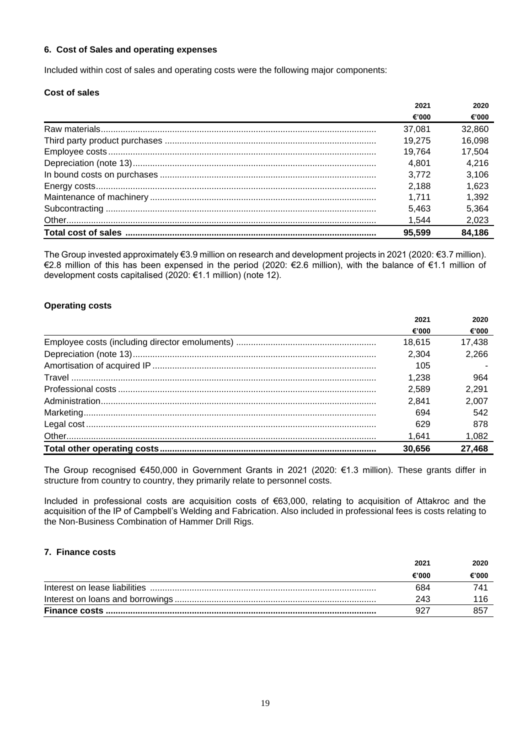#### **6. Cost of Sales and operating expenses**

Included within cost of sales and operating costs were the following major components:

## **Cost of sales**

| 2021   | 2020   |
|--------|--------|
| €'000  | €'000  |
| 37,081 | 32,860 |
| 19.275 | 16,098 |
| 19.764 | 17,504 |
| 4.801  | 4,216  |
| 3.772  | 3.106  |
| 2.188  | 1.623  |
| 1.711  | 1,392  |
| 5.463  | 5,364  |
| 1.544  | 2,023  |
| 95.599 | 84,186 |

The Group invested approximately €3.9 million on research and development projects in 2021 (2020: €3.7 million). €2.8 million of this has been expensed in the period (2020: €2.6 million), with the balance of €1.1 million of development costs capitalised (2020: €1.1 million) (note 12).

#### **Operating costs**

| 2021   | 2020   |
|--------|--------|
| €'000  | €'000  |
| 18.615 | 17,438 |
| 2,304  | 2,266  |
| 105    |        |
| 1.238  | 964    |
| 2,589  | 2.291  |
| 2.841  | 2,007  |
| 694    | 542    |
| 629    | 878    |
| 1.641  | 1,082  |
| 30.656 | 27,468 |
|        |        |

The Group recognised €450,000 in Government Grants in 2021 (2020: €1.3 million). These grants differ in structure from country to country, they primarily relate to personnel costs.

Included in professional costs are acquisition costs of €63,000, relating to acquisition of Attakroc and the acquisition of the IP of Campbell's Welding and Fabrication. Also included in professional fees is costs relating to the Non-Business Combination of Hammer Drill Rigs.

#### **7. Finance costs**

| 2021  | 2020  |
|-------|-------|
| €'000 | €'000 |
| 684   |       |
| 243   |       |
|       | 857   |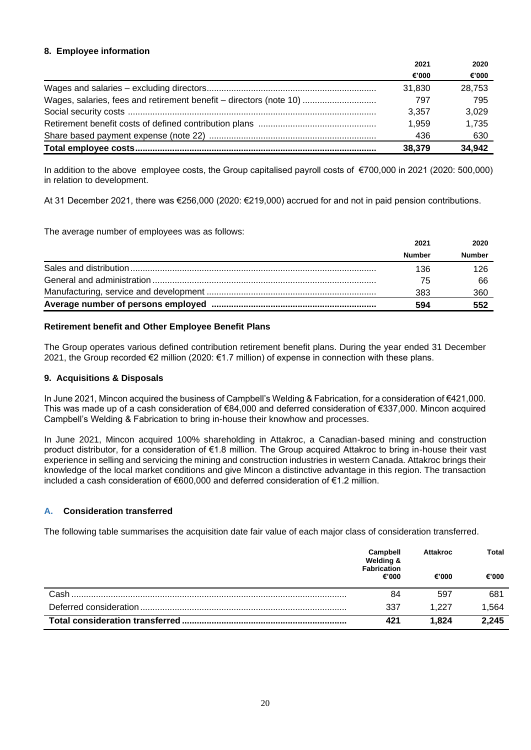## **8. Employee information**

|                                                                    | 2021   | 2020   |
|--------------------------------------------------------------------|--------|--------|
|                                                                    | €'000  | €'000  |
|                                                                    | 31.830 | 28.753 |
| Wages, salaries, fees and retirement benefit - directors (note 10) | 797    | 795    |
|                                                                    | 3.357  | 3.029  |
|                                                                    | 1.959  | 1.735  |
|                                                                    | 436    | 630    |
|                                                                    | 38,379 | 34,942 |

In addition to the above employee costs, the Group capitalised payroll costs of €700,000 in 2021 (2020: 500,000) in relation to development.

At 31 December 2021, there was €256,000 (2020: €219,000) accrued for and not in paid pension contributions.

The average number of employees was as follows:

| 2021          | 2020          |
|---------------|---------------|
| <b>Number</b> | <b>Number</b> |
| 136           | 126           |
| 75            | 66            |
| 383           | 360           |
| 594           | 552           |

## **Retirement benefit and Other Employee Benefit Plans**

The Group operates various defined contribution retirement benefit plans. During the year ended 31 December 2021, the Group recorded €2 million (2020: €1.7 million) of expense in connection with these plans.

### **9. Acquisitions & Disposals**

In June 2021, Mincon acquired the business of Campbell's Welding & Fabrication, for a consideration of €421,000. This was made up of a cash consideration of €84,000 and deferred consideration of €337,000. Mincon acquired Campbell's Welding & Fabrication to bring in-house their knowhow and processes.

In June 2021, Mincon acquired 100% shareholding in Attakroc, a Canadian-based mining and construction product distributor, for a consideration of €1.8 million. The Group acquired Attakroc to bring in-house their vast experience in selling and servicing the mining and construction industries in western Canada. Attakroc brings their knowledge of the local market conditions and give Mincon a distinctive advantage in this region. The transaction included a cash consideration of €600,000 and deferred consideration of €1.2 million.

## **A. Consideration transferred**

The following table summarises the acquisition date fair value of each major class of consideration transferred.

|                                  | Campbell<br>Welding &<br><b>Fabrication</b><br>€'000 | <b>Attakroc</b> | Total |
|----------------------------------|------------------------------------------------------|-----------------|-------|
|                                  |                                                      | €'000           | €'000 |
| Cash                             | 84                                                   | 597             | 681   |
| Deferred consideration           | 337                                                  | 1.227           | 1,564 |
| Total consideration transferred. | 421                                                  | 1.824           | 2,245 |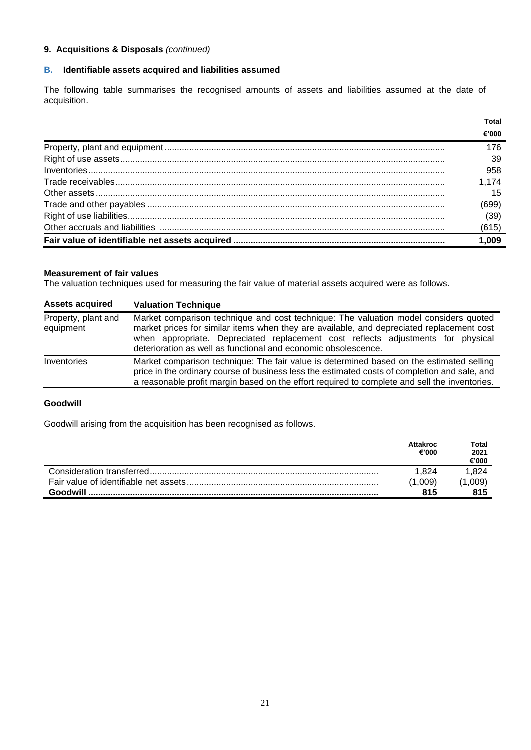## **9. Acquisitions & Disposals** *(continued)*

## **B. Identifiable assets acquired and liabilities assumed**

The following table summarises the recognised amounts of assets and liabilities assumed at the date of acquisition.

| 1.009 |
|-------|
| (615) |
| (39)  |
| (699) |
| 15    |
| 1.174 |
| 958   |
| 39    |
| 176   |
| €'000 |
| Total |

#### **Measurement of fair values**

The valuation techniques used for measuring the fair value of material assets acquired were as follows.

| <b>Assets acquired</b>           | <b>Valuation Technique</b>                                                                                                                                                                                                                                                                                                              |
|----------------------------------|-----------------------------------------------------------------------------------------------------------------------------------------------------------------------------------------------------------------------------------------------------------------------------------------------------------------------------------------|
| Property, plant and<br>equipment | Market comparison technique and cost technique: The valuation model considers quoted<br>market prices for similar items when they are available, and depreciated replacement cost<br>when appropriate. Depreciated replacement cost reflects adjustments for physical<br>deterioration as well as functional and economic obsolescence. |
| Inventories                      | Market comparison technique: The fair value is determined based on the estimated selling<br>price in the ordinary course of business less the estimated costs of completion and sale, and<br>a reasonable profit margin based on the effort required to complete and sell the inventories.                                              |

#### **Goodwill**

Goodwill arising from the acquisition has been recognised as follows.

|          | Attakroc<br>€'000 | Total<br>2021<br>€'000 |
|----------|-------------------|------------------------|
|          | 1.824             | .824                   |
|          | .009              | .009                   |
| Goodwill | 815               |                        |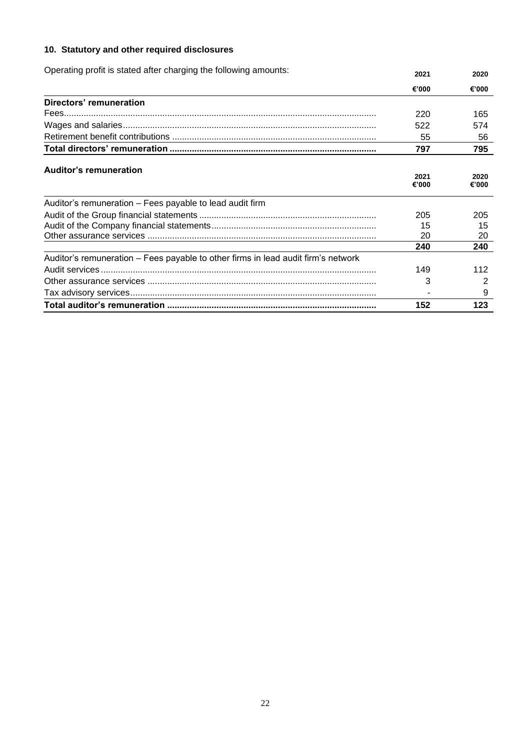## **10. Statutory and other required disclosures**

| Operating profit is stated after charging the following amounts:                  | 2021          | 2020          |
|-----------------------------------------------------------------------------------|---------------|---------------|
|                                                                                   | €'000         | €'000         |
| <b>Directors' remuneration</b>                                                    |               |               |
|                                                                                   | 220           | 165           |
|                                                                                   | 522           | 574           |
|                                                                                   | 55            | 56            |
|                                                                                   | 797           | 795           |
| <b>Auditor's remuneration</b>                                                     |               |               |
|                                                                                   | 2021<br>€'000 | 2020<br>€'000 |
| Auditor's remuneration - Fees payable to lead audit firm                          |               |               |
|                                                                                   | 205           | 205           |
|                                                                                   | 15            | 15            |
|                                                                                   | 20            | 20            |
|                                                                                   | 240           | 240           |
| Auditor's remuneration – Fees payable to other firms in lead audit firm's network |               |               |
|                                                                                   | 149           | 112           |
|                                                                                   | 3             | 2             |
|                                                                                   |               | 9             |
|                                                                                   | 152           | 123           |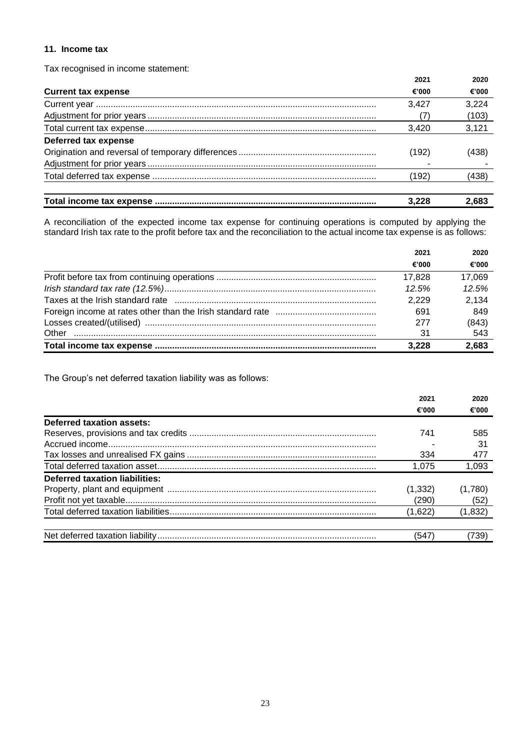## **11. Income tax**

Tax recognised in income statement:

|                            | 2021  | 2020  |
|----------------------------|-------|-------|
| <b>Current tax expense</b> | €'000 | €'000 |
|                            | 3.427 | 3,224 |
|                            | (7)   | (103) |
|                            | 3.420 | 3,121 |
| Deferred tax expense       |       |       |
|                            | (192) | (438) |
|                            |       |       |
|                            | (192) | (438) |
|                            | 3.228 | 2.683 |

A reconciliation of the expected income tax expense for continuing operations is computed by applying the standard Irish tax rate to the profit before tax and the reconciliation to the actual income tax expense is as follows:

|       | 2021   | 2020   |
|-------|--------|--------|
|       | €'000  | €'000  |
|       | 17,828 | 17,069 |
|       | 12.5%  | 12.5%  |
|       | 2.229  | 2,134  |
|       | 691    | 849    |
|       | 277    | (843)  |
| Other | 31     | 543    |
|       | 3.228  | 2,683  |

The Group's net deferred taxation liability was as follows:

|                                | 2021     | 2020    |
|--------------------------------|----------|---------|
|                                | €'000    | €'000   |
| Deferred taxation assets:      |          |         |
|                                | 741      | 585     |
|                                |          | 31      |
|                                | 334      | 477     |
|                                | 1.075    | 1,093   |
| Deferred taxation liabilities: |          |         |
|                                | (1, 332) | (1,780) |
|                                | (290)    | (52)    |
|                                | (1,622)  | (1,832) |
|                                |          |         |
|                                | (547)    | 739)    |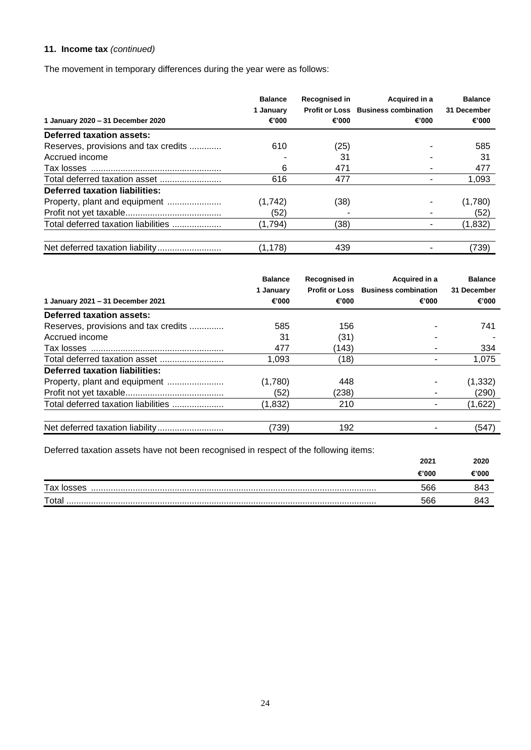## **11. Income tax** *(continued)*

The movement in temporary differences during the year were as follows:

| 1 January 2020 - 31 December 2020    | <b>Balance</b><br>1 Januarv<br>€'000 | Recognised in<br>€'000 | Acquired in a<br><b>Profit or Loss Business combination</b><br>€'000 | <b>Balance</b><br>31 December<br>€'000 |
|--------------------------------------|--------------------------------------|------------------------|----------------------------------------------------------------------|----------------------------------------|
| Deferred taxation assets:            |                                      |                        |                                                                      |                                        |
| Reserves, provisions and tax credits | 610                                  | (25)                   |                                                                      | 585                                    |
| Accrued income                       |                                      | 31                     |                                                                      | 31                                     |
|                                      | 6                                    | 471                    |                                                                      | 477                                    |
| Total deferred taxation asset        | 616                                  | 477                    |                                                                      | 1,093                                  |
| Deferred taxation liabilities:       |                                      |                        |                                                                      |                                        |
| Property, plant and equipment        | (1,742)                              | (38)                   |                                                                      | (1,780)                                |
|                                      | (52)                                 |                        |                                                                      | (52)                                   |
| Total deferred taxation liabilities  | (1,794)                              | (38)                   |                                                                      | (1,832)                                |
|                                      | (1, 178)                             | 439                    |                                                                      | (739)                                  |

| 1 January 2021 - 31 December 2021     | <b>Balance</b><br>1 January<br>€'000 | <b>Recognised in</b><br>€'000 | Acquired in a<br><b>Profit or Loss Business combination</b><br>€'000 | <b>Balance</b><br>31 December<br>€'000 |
|---------------------------------------|--------------------------------------|-------------------------------|----------------------------------------------------------------------|----------------------------------------|
| Deferred taxation assets:             |                                      |                               |                                                                      |                                        |
| Reserves, provisions and tax credits  | 585                                  | 156                           |                                                                      | 741                                    |
| Accrued income                        | 31                                   | (31)                          |                                                                      |                                        |
|                                       | 477                                  | (143)                         |                                                                      | 334                                    |
| Total deferred taxation asset         | 1.093                                | (18)                          |                                                                      | 1,075                                  |
| <b>Deferred taxation liabilities:</b> |                                      |                               |                                                                      |                                        |
|                                       | (1,780)                              | 448                           |                                                                      | (1, 332)                               |
|                                       | (52)                                 | (238)                         |                                                                      | (290)                                  |
| Total deferred taxation liabilities   | (1,832)                              | 210                           |                                                                      | (1,622)                                |
|                                       |                                      |                               |                                                                      |                                        |
|                                       | (739)                                | 192                           |                                                                      | (547)                                  |

Deferred taxation assets have not been recognised in respect of the following items:

|            | 2021  | 2020  |
|------------|-------|-------|
|            | €'000 | €'000 |
| Tax losses | 566   |       |
| Total      | 566   |       |
|            |       |       |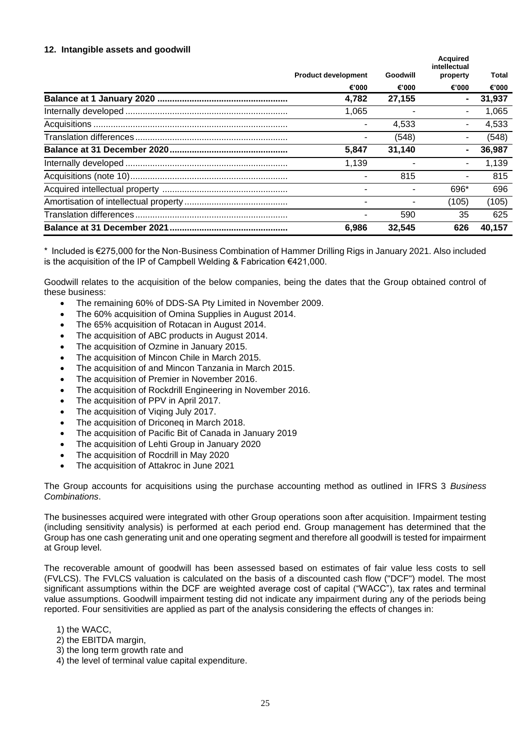### **12. Intangible assets and goodwill**

| <b>Product development</b> | Goodwill | <b>Acquired</b><br>intellectual<br>property | Total  |  |
|----------------------------|----------|---------------------------------------------|--------|--|
| €'000                      | €'000    | €'000                                       | €'000  |  |
| 4,782                      | 27,155   | $\blacksquare$                              | 31,937 |  |
| 1,065                      |          | $\overline{a}$                              | 1,065  |  |
|                            | 4,533    | $\blacksquare$                              | 4,533  |  |
|                            | (548)    | ۰                                           | (548)  |  |
| 5,847                      | 31.140   | $\blacksquare$                              | 36,987 |  |
| 1.139                      |          |                                             | 1,139  |  |
|                            | 815      | $\blacksquare$                              | 815    |  |
|                            |          | 696*                                        | 696    |  |
|                            |          | (105)                                       | (105)  |  |
|                            | 590      | 35                                          | 625    |  |
| 6.986                      | 32,545   | 626                                         | 40,157 |  |

\* Included is €275,000 for the Non-Business Combination of Hammer Drilling Rigs in January 2021. Also included is the acquisition of the IP of Campbell Welding & Fabrication €421,000.

Goodwill relates to the acquisition of the below companies, being the dates that the Group obtained control of these business:

- The remaining 60% of DDS-SA Pty Limited in November 2009.
- The 60% acquisition of Omina Supplies in August 2014.
- The 65% acquisition of Rotacan in August 2014.
- The acquisition of ABC products in August 2014.
- The acquisition of Ozmine in January 2015.
- The acquisition of Mincon Chile in March 2015.
- The acquisition of and Mincon Tanzania in March 2015.
- The acquisition of Premier in November 2016.
- The acquisition of Rockdrill Engineering in November 2016.
- The acquisition of PPV in April 2017.
- The acquisition of Viqing July 2017.
- The acquisition of Driconeg in March 2018.
- The acquisition of Pacific Bit of Canada in January 2019
- The acquisition of Lehti Group in January 2020
- The acquisition of Rocdrill in May 2020
- The acquisition of Attakroc in June 2021

The Group accounts for acquisitions using the purchase accounting method as outlined in IFRS 3 *Business Combinations*.

The businesses acquired were integrated with other Group operations soon after acquisition. Impairment testing (including sensitivity analysis) is performed at each period end. Group management has determined that the Group has one cash generating unit and one operating segment and therefore all goodwill is tested for impairment at Group level.

The recoverable amount of goodwill has been assessed based on estimates of fair value less costs to sell (FVLCS). The FVLCS valuation is calculated on the basis of a discounted cash flow ("DCF") model. The most significant assumptions within the DCF are weighted average cost of capital ("WACC"), tax rates and terminal value assumptions. Goodwill impairment testing did not indicate any impairment during any of the periods being reported. Four sensitivities are applied as part of the analysis considering the effects of changes in:

- 1) the WACC,
- 2) the EBITDA margin,
- 3) the long term growth rate and
- 4) the level of terminal value capital expenditure.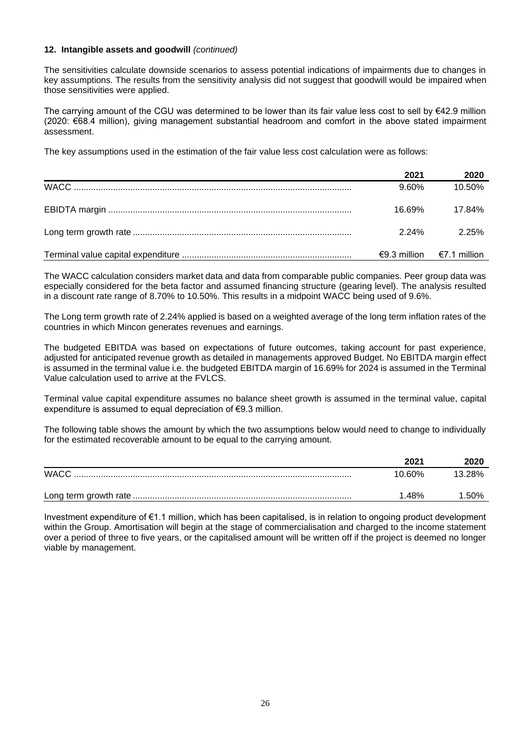#### **12. Intangible assets and goodwill** *(continued)*

The sensitivities calculate downside scenarios to assess potential indications of impairments due to changes in key assumptions. The results from the sensitivity analysis did not suggest that goodwill would be impaired when those sensitivities were applied.

The carrying amount of the CGU was determined to be lower than its fair value less cost to sell by €42.9 million (2020: €68.4 million), giving management substantial headroom and comfort in the above stated impairment assessment.

The key assumptions used in the estimation of the fair value less cost calculation were as follows:

| 2021   | 2020                          |
|--------|-------------------------------|
| 9.60%  | 10.50%                        |
| 16.69% | 17.84%                        |
| 2 24%  | 2.25%                         |
|        | $€9.3$ million $€7.1$ million |

The WACC calculation considers market data and data from comparable public companies. Peer group data was especially considered for the beta factor and assumed financing structure (gearing level). The analysis resulted in a discount rate range of 8.70% to 10.50%. This results in a midpoint WACC being used of 9.6%.

The Long term growth rate of 2.24% applied is based on a weighted average of the long term inflation rates of the countries in which Mincon generates revenues and earnings.

The budgeted EBITDA was based on expectations of future outcomes, taking account for past experience, adjusted for anticipated revenue growth as detailed in managements approved Budget. No EBITDA margin effect is assumed in the terminal value i.e. the budgeted EBITDA margin of 16.69% for 2024 is assumed in the Terminal Value calculation used to arrive at the FVLCS.

Terminal value capital expenditure assumes no balance sheet growth is assumed in the terminal value, capital expenditure is assumed to equal depreciation of €9.3 million.

The following table shows the amount by which the two assumptions below would need to change to individually for the estimated recoverable amount to be equal to the carrying amount.

|             | 202٬   | 2020   |
|-------------|--------|--------|
| <b>WACC</b> | 10.60% | 13.28% |
|             | .48%   | ' 50%  |

Investment expenditure of €1.1 million, which has been capitalised, is in relation to ongoing product development within the Group. Amortisation will begin at the stage of commercialisation and charged to the income statement over a period of three to five years, or the capitalised amount will be written off if the project is deemed no longer viable by management.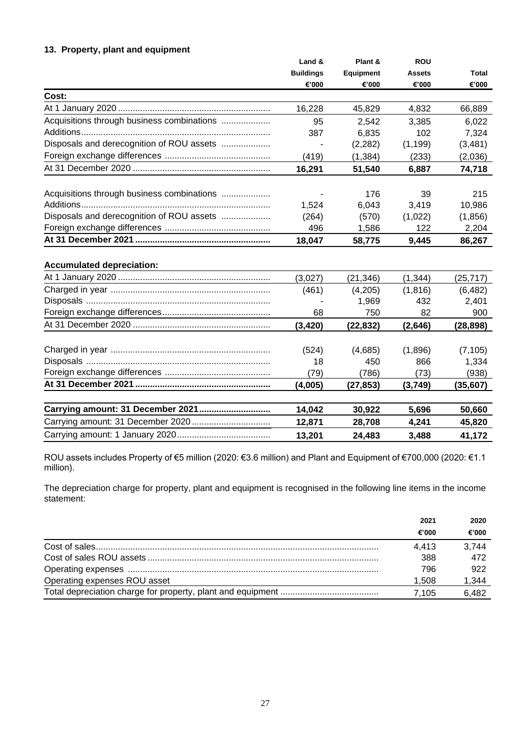## **13. Property, plant and equipment**

|                                            | Land &           | Plant &          | <b>ROU</b>    |              |
|--------------------------------------------|------------------|------------------|---------------|--------------|
|                                            | <b>Buildings</b> | <b>Equipment</b> | <b>Assets</b> | <b>Total</b> |
|                                            | €'000            | €'000            | €'000         | €'000        |
| Cost:                                      |                  |                  |               |              |
|                                            | 16,228           | 45,829           | 4,832         | 66,889       |
| Acquisitions through business combinations | 95               | 2,542            | 3,385         | 6,022        |
|                                            | 387              | 6,835            | 102           | 7,324        |
| Disposals and derecognition of ROU assets  |                  | (2, 282)         | (1, 199)      | (3,481)      |
|                                            | (419)            | (1, 384)         | (233)         | (2,036)      |
|                                            | 16,291           | 51,540           | 6,887         | 74,718       |
| Acquisitions through business combinations |                  | 176              | 39            | 215          |
|                                            | 1,524            | 6,043            | 3,419         | 10,986       |
| Disposals and derecognition of ROU assets  | (264)            | (570)            | (1,022)       | (1,856)      |
|                                            | 496              | 1,586            | 122           | 2,204        |
|                                            | 18,047           | 58,775           | 9,445         | 86,267       |
| <b>Accumulated depreciation:</b>           |                  |                  |               |              |
|                                            | (3,027)          | (21, 346)        | (1, 344)      | (25, 717)    |
|                                            | (461)            | (4,205)          | (1, 816)      | (6, 482)     |
|                                            |                  | 1,969            | 432           | 2,401        |
|                                            | 68               | 750              | 82            | 900          |
|                                            | (3, 420)         | (22, 832)        | (2,646)       | (28, 898)    |
|                                            | (524)            | (4,685)          | (1,896)       | (7, 105)     |
|                                            | 18               | 450              | 866           | 1,334        |
|                                            | (79)             | (786)            | (73)          | (938)        |
|                                            | (4,005)          | (27, 853)        | (3,749)       | (35, 607)    |
|                                            |                  |                  |               |              |
| Carrying amount: 31 December 2021          | 14,042           | 30,922           | 5,696         | 50,660       |
|                                            | 12,871           | 28,708           | 4,241         | 45,820       |
|                                            | 13,201           | 24,483           | 3,488         | 41,172       |

ROU assets includes Property of €5 million (2020: €3.6 million) and Plant and Equipment of €700,000 (2020: €1.1 million).

The depreciation charge for property, plant and equipment is recognised in the following line items in the income statement:

|                              | 2021  | 2020  |
|------------------------------|-------|-------|
|                              | €'000 | €'000 |
|                              | 4.413 | 3.744 |
|                              | 388   | 472   |
|                              | 796   | 922   |
| Operating expenses ROU asset | 1.508 | 1,344 |
|                              | 7.105 | 6.482 |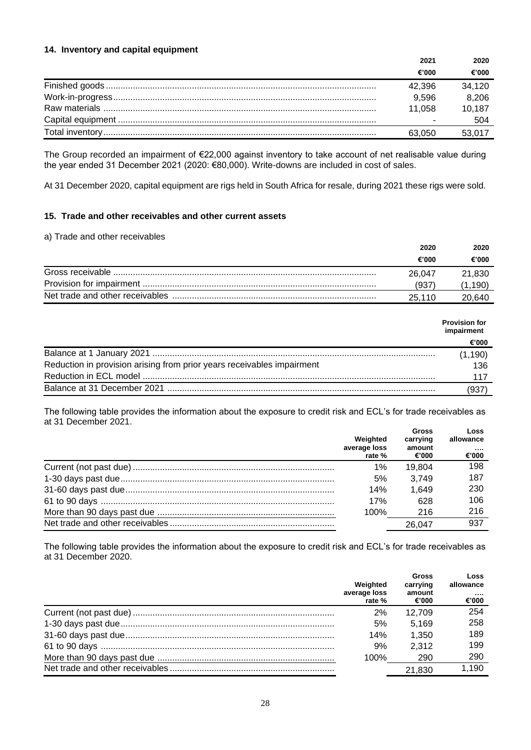#### **14. Inventory and capital equipment**

| 2021   | 2020   |
|--------|--------|
| €'000  | €'000  |
| 42.396 | 34,120 |
| 9.596  | 8,206  |
| 11.058 | 10,187 |
|        | 504    |
| 63,050 | 53,017 |

The Group recorded an impairment of €22,000 against inventory to take account of net realisable value during the year ended 31 December 2021 (2020: €80,000). Write-downs are included in cost of sales.

At 31 December 2020, capital equipment are rigs held in South Africa for resale, during 2021 these rigs were sold.

## **15. Trade and other receivables and other current assets**

#### a) Trade and other receivables

| 2020   | 2020   |
|--------|--------|
| €'000  | €'000  |
| 26.047 | 21,830 |
| (937   | .190)  |
| 25.110 | 20.640 |

|                                                                        | <b>Provision for</b><br>impairment |
|------------------------------------------------------------------------|------------------------------------|
|                                                                        | €'000                              |
|                                                                        | (1, 190)                           |
| Reduction in provision arising from prior years receivables impairment | 136                                |
|                                                                        | 117                                |
|                                                                        | 937                                |

The following table provides the information about the exposure to credit risk and ECL's for trade receivables as at 31 December 2021.

| Weighted<br>average loss<br>rate % | <b>Gross</b><br>carrying<br>amount<br>€'000 | Loss<br>allowance<br><br>€'000 |
|------------------------------------|---------------------------------------------|--------------------------------|
| 1%                                 | 19.804                                      | 198                            |
| 5%                                 | 3.749                                       | 187                            |
| 14%                                | 1,649                                       | 230                            |
| 17%                                | 628                                         | 106                            |
| 100%                               | 216                                         | 216                            |
|                                    | 26.047                                      | 937                            |

The following table provides the information about the exposure to credit risk and ECL's for trade receivables as at 31 December 2020.

| Weighted<br>average loss<br>rate % | <b>Gross</b><br>carrying<br>amount<br>€'000 | Loss<br>allowance<br><br>€'000 |
|------------------------------------|---------------------------------------------|--------------------------------|
| 2%                                 | 12.709                                      | 254                            |
| 5%                                 | 5.169                                       | 258                            |
| 14%                                | 1,350                                       | 189                            |
| 9%                                 | 2.312                                       | 199                            |
| 100%                               | 290                                         | 290                            |
|                                    | 21.830                                      | 1,190                          |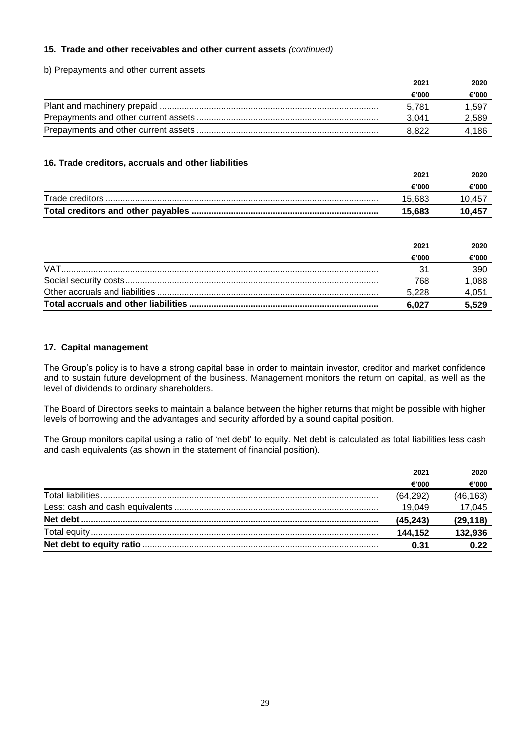## **15. Trade and other receivables and other current assets** *(continued)*

#### b) Prepayments and other current assets

| 2021  | 2020  |
|-------|-------|
| €'000 | €'000 |
| 5.781 | 1.597 |
| 3.041 | 2,589 |
| 8.822 | 4.186 |

#### **16. Trade creditors, accruals and other liabilities**

|                 | 2021   | 2020   |
|-----------------|--------|--------|
|                 | €'000  | €'000  |
| Trade creditors | 15.683 | 10.457 |
|                 | 15.683 | 10.457 |

|            | 2021  | 2020  |
|------------|-------|-------|
|            | €'000 | €'000 |
| <b>VAT</b> |       | 390   |
|            | 768   | 1,088 |
|            | 5.228 | 4,051 |
|            | 6.027 | 5.529 |

## **17. Capital management**

The Group's policy is to have a strong capital base in order to maintain investor, creditor and market confidence and to sustain future development of the business. Management monitors the return on capital, as well as the level of dividends to ordinary shareholders.

The Board of Directors seeks to maintain a balance between the higher returns that might be possible with higher levels of borrowing and the advantages and security afforded by a sound capital position.

The Group monitors capital using a ratio of 'net debt' to equity. Net debt is calculated as total liabilities less cash and cash equivalents (as shown in the statement of financial position).

| 2021     | 2020     |
|----------|----------|
| €'000    | €'000    |
| (64,292) | (46,163) |
| 19.049   | 17,045   |
| (45.243) | (29,118) |
| 144.152  | 132,936  |
| 0.31     |          |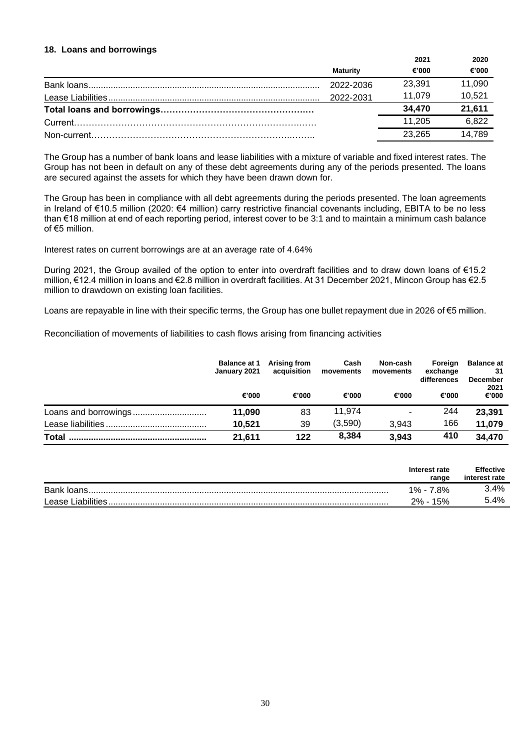#### **18. Loans and borrowings**

|           | 2021   | 2020   |
|-----------|--------|--------|
| Maturitv  | €'000  | €'000  |
| 2022-2036 | 23,391 | 11,090 |
| 2022-2031 | 11.079 | 10,521 |
|           | 34.470 | 21,611 |
|           | 11.205 | 6,822  |
|           | 23.265 | 14.789 |

The Group has a number of bank loans and lease liabilities with a mixture of variable and fixed interest rates. The Group has not been in default on any of these debt agreements during any of the periods presented. The loans are secured against the assets for which they have been drawn down for.

The Group has been in compliance with all debt agreements during the periods presented. The loan agreements in Ireland of €10.5 million (2020: €4 million) carry restrictive financial covenants including, EBITA to be no less than €18 million at end of each reporting period, interest cover to be 3:1 and to maintain a minimum cash balance of €5 million.

Interest rates on current borrowings are at an average rate of 4.64%

During 2021, the Group availed of the option to enter into overdraft facilities and to draw down loans of €15.2 million, €12.4 million in loans and €2.8 million in overdraft facilities. At 31 December 2021, Mincon Group has €2.5 million to drawdown on existing loan facilities.

Loans are repayable in line with their specific terms, the Group has one bullet repayment due in 2026 of €5 million.

Reconciliation of movements of liabilities to cash flows arising from financing activities

|              | <b>Balance at 1</b><br>January 2021 | Arising from<br>acquisition | Cash<br>movements | Non-cash<br>movements | Foreign<br>exchange<br>differences | <b>Balance at</b><br>31<br><b>December</b><br>2021 |
|--------------|-------------------------------------|-----------------------------|-------------------|-----------------------|------------------------------------|----------------------------------------------------|
|              | €'000                               | €'000                       | €'000             | €'000                 | €'000                              | €'000                                              |
|              | 11.090                              | 83                          | 11.974            | ۰                     | 244                                | 23,391                                             |
|              | 10,521                              | 39                          | (3.590)           | 3.943                 | 166                                | 11,079                                             |
| <b>Total</b> | 21,611                              | 122                         | 8,384             | 3,943                 | 410                                | 34,470                                             |

|                    | Interest rate<br>range | <b>Effective</b><br>interest rate |
|--------------------|------------------------|-----------------------------------|
| Bank loans.        | $1\% - 7.8\%$          | 3.4%                              |
| Lease Liabilities. | 2% -<br>15%            | 5.4%                              |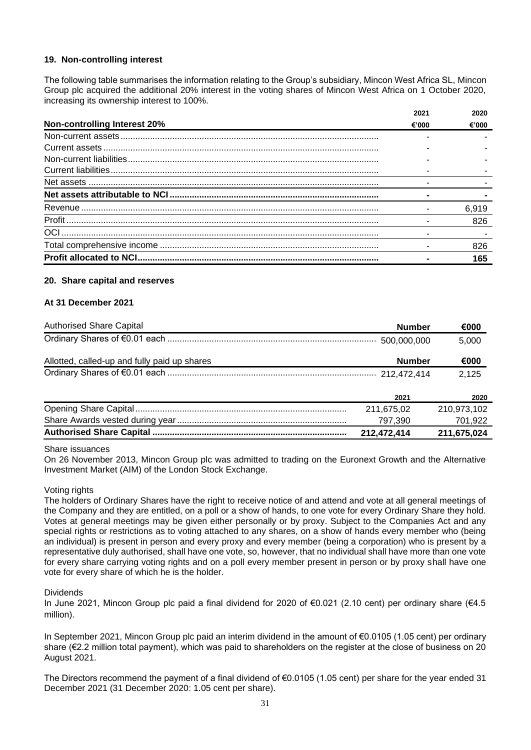#### **19. Non-controlling interest**

The following table summarises the information relating to the Group's subsidiary, Mincon West Africa SL, Mincon Group plc acquired the additional 20% interest in the voting shares of Mincon West Africa on 1 October 2020, increasing its ownership interest to 100%.

|                                     | 2021  | 2020  |
|-------------------------------------|-------|-------|
| <b>Non-controlling Interest 20%</b> | €'000 | €'000 |
|                                     |       |       |
|                                     |       |       |
|                                     |       |       |
|                                     |       |       |
|                                     |       |       |
|                                     |       |       |
|                                     |       | 6.919 |
|                                     |       | 826   |
| OCI                                 |       |       |
|                                     |       | 826   |
|                                     |       | 165   |

#### **20. Share capital and reserves**

#### **At 31 December 2021**

| <b>Authorised Share Capital</b>              | <b>Number</b> | €000        |
|----------------------------------------------|---------------|-------------|
|                                              |               | 5,000       |
| Allotted, called-up and fully paid up shares | <b>Number</b> | €000        |
|                                              |               | 2,125       |
|                                              | 2021          | 2020        |
|                                              | 211,675,02    | 210,973,102 |
|                                              | 797,390       | 701,922     |
|                                              | 212,472,414   | 211,675,024 |

#### Share issuances

On 26 November 2013, Mincon Group plc was admitted to trading on the Euronext Growth and the Alternative Investment Market (AIM) of the London Stock Exchange.

#### Voting rights

The holders of Ordinary Shares have the right to receive notice of and attend and vote at all general meetings of the Company and they are entitled, on a poll or a show of hands, to one vote for every Ordinary Share they hold. Votes at general meetings may be given either personally or by proxy. Subject to the Companies Act and any special rights or restrictions as to voting attached to any shares, on a show of hands every member who (being an individual) is present in person and every proxy and every member (being a corporation) who is present by a representative duly authorised, shall have one vote, so, however, that no individual shall have more than one vote for every share carrying voting rights and on a poll every member present in person or by proxy shall have one vote for every share of which he is the holder.

#### Dividends

In June 2021, Mincon Group plc paid a final dividend for 2020 of €0.021 (2.10 cent) per ordinary share (€4.5 million).

In September 2021, Mincon Group plc paid an interim dividend in the amount of €0.0105 (1.05 cent) per ordinary share (€2.2 million total payment), which was paid to shareholders on the register at the close of business on 20 August 2021.

The Directors recommend the payment of a final dividend of €0.0105 (1.05 cent) per share for the year ended 31 December 2021 (31 December 2020: 1.05 cent per share).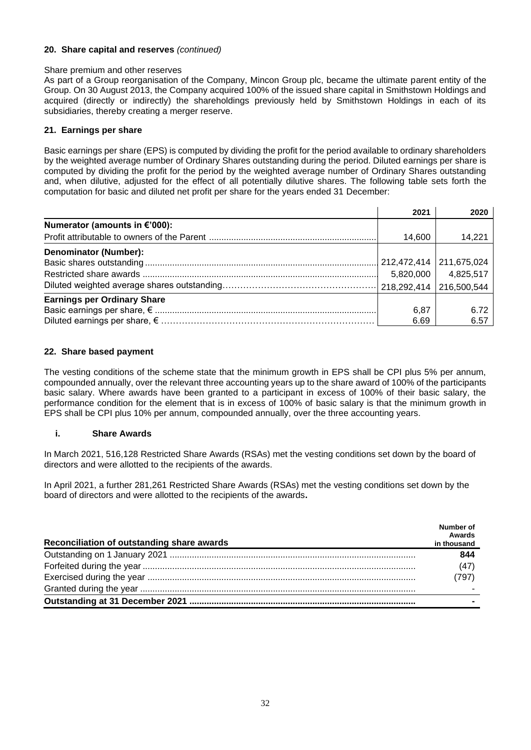## **20. Share capital and reserves** *(continued)*

#### Share premium and other reserves

As part of a Group reorganisation of the Company, Mincon Group plc, became the ultimate parent entity of the Group. On 30 August 2013, the Company acquired 100% of the issued share capital in Smithstown Holdings and acquired (directly or indirectly) the shareholdings previously held by Smithstown Holdings in each of its subsidiaries, thereby creating a merger reserve.

## **21. Earnings per share**

Basic earnings per share (EPS) is computed by dividing the profit for the period available to ordinary shareholders by the weighted average number of Ordinary Shares outstanding during the period. Diluted earnings per share is computed by dividing the profit for the period by the weighted average number of Ordinary Shares outstanding and, when dilutive, adjusted for the effect of all potentially dilutive shares. The following table sets forth the computation for basic and diluted net profit per share for the years ended 31 December:

|                                    | 2021        | 2020        |
|------------------------------------|-------------|-------------|
| Numerator (amounts in €'000):      |             |             |
|                                    | 14.600      | 14.221      |
| Denominator (Number):              |             |             |
|                                    | 212,472,414 | 211,675,024 |
|                                    | 5,820,000   | 4,825,517   |
|                                    |             | 216,500,544 |
| <b>Earnings per Ordinary Share</b> |             |             |
|                                    | 6,87        | 6.72        |
|                                    | 6.69        | 6.57        |

## **22. Share based payment**

The vesting conditions of the scheme state that the minimum growth in EPS shall be CPI plus 5% per annum, compounded annually, over the relevant three accounting years up to the share award of 100% of the participants basic salary. Where awards have been granted to a participant in excess of 100% of their basic salary, the performance condition for the element that is in excess of 100% of basic salary is that the minimum growth in EPS shall be CPI plus 10% per annum, compounded annually, over the three accounting years.

## **i. Share Awards**

In March 2021, 516,128 Restricted Share Awards (RSAs) met the vesting conditions set down by the board of directors and were allotted to the recipients of the awards.

In April 2021, a further 281,261 Restricted Share Awards (RSAs) met the vesting conditions set down by the board of directors and were allotted to the recipients of the awards**.**

| Reconciliation of outstanding share awards | Number of<br>Awards<br>in thousand |
|--------------------------------------------|------------------------------------|
|                                            | 844                                |
|                                            | (47)                               |
|                                            | (797)                              |
|                                            |                                    |
|                                            |                                    |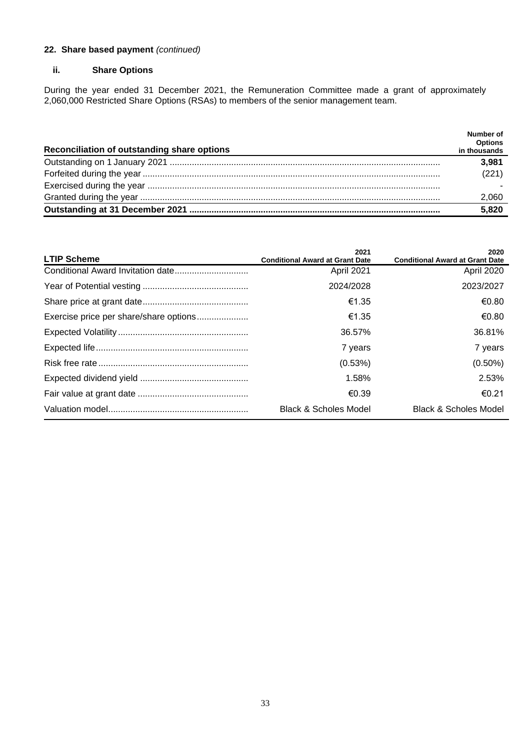## **22. Share based payment** *(continued)*

## **ii. Share Options**

During the year ended 31 December 2021, the Remuneration Committee made a grant of approximately 2,060,000 Restricted Share Options (RSAs) to members of the senior management team.

|                                             | Number of      |
|---------------------------------------------|----------------|
|                                             | <b>Options</b> |
| Reconciliation of outstanding share options | in thousands   |
|                                             | 3.981          |
|                                             | (221)          |
|                                             |                |
|                                             | 2,060          |
|                                             | 5,820          |

| <b>LTIP Scheme</b>                     | 2021<br><b>Conditional Award at Grant Date</b> | 2020<br><b>Conditional Award at Grant Date</b> |
|----------------------------------------|------------------------------------------------|------------------------------------------------|
|                                        | <b>April 2021</b>                              | April 2020                                     |
|                                        | 2024/2028                                      | 2023/2027                                      |
|                                        | €1.35                                          | €0.80                                          |
| Exercise price per share/share options | €1.35                                          | €0.80                                          |
|                                        | 36.57%                                         | 36.81%                                         |
|                                        | 7 years                                        | 7 years                                        |
|                                        | (0.53%)                                        | $(0.50\%)$                                     |
|                                        | 1.58%                                          | 2.53%                                          |
|                                        | €0.39                                          | $\epsilon$ 0.21                                |
|                                        | <b>Black &amp; Scholes Model</b>               | <b>Black &amp; Scholes Model</b>               |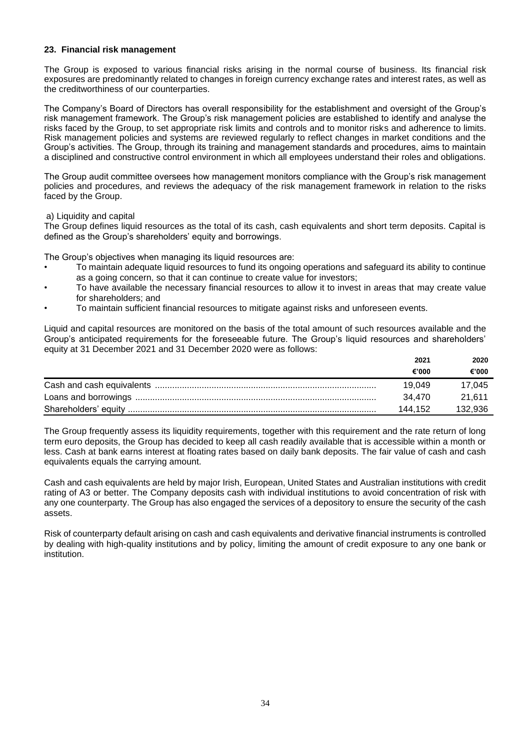#### **23. Financial risk management**

The Group is exposed to various financial risks arising in the normal course of business. Its financial risk exposures are predominantly related to changes in foreign currency exchange rates and interest rates, as well as the creditworthiness of our counterparties.

The Company's Board of Directors has overall responsibility for the establishment and oversight of the Group's risk management framework. The Group's risk management policies are established to identify and analyse the risks faced by the Group, to set appropriate risk limits and controls and to monitor risks and adherence to limits. Risk management policies and systems are reviewed regularly to reflect changes in market conditions and the Group's activities. The Group, through its training and management standards and procedures, aims to maintain a disciplined and constructive control environment in which all employees understand their roles and obligations.

The Group audit committee oversees how management monitors compliance with the Group's risk management policies and procedures, and reviews the adequacy of the risk management framework in relation to the risks faced by the Group.

#### a) Liquidity and capital

The Group defines liquid resources as the total of its cash, cash equivalents and short term deposits. Capital is defined as the Group's shareholders' equity and borrowings.

The Group's objectives when managing its liquid resources are:

- To maintain adequate liquid resources to fund its ongoing operations and safeguard its ability to continue as a going concern, so that it can continue to create value for investors;
- To have available the necessary financial resources to allow it to invest in areas that may create value for shareholders; and
- To maintain sufficient financial resources to mitigate against risks and unforeseen events.

Liquid and capital resources are monitored on the basis of the total amount of such resources available and the Group's anticipated requirements for the foreseeable future. The Group's liquid resources and shareholders' equity at 31 December 2021 and 31 December 2020 were as follows:

| 2021    | 2020    |
|---------|---------|
| €'000   | €'000   |
| 19.049  | 17.045  |
| 34.470  | 21.611  |
| 144.152 | 132.936 |

The Group frequently assess its liquidity requirements, together with this requirement and the rate return of long term euro deposits, the Group has decided to keep all cash readily available that is accessible within a month or less. Cash at bank earns interest at floating rates based on daily bank deposits. The fair value of cash and cash equivalents equals the carrying amount.

Cash and cash equivalents are held by major Irish, European, United States and Australian institutions with credit rating of A3 or better. The Company deposits cash with individual institutions to avoid concentration of risk with any one counterparty. The Group has also engaged the services of a depository to ensure the security of the cash assets.

Risk of counterparty default arising on cash and cash equivalents and derivative financial instruments is controlled by dealing with high-quality institutions and by policy, limiting the amount of credit exposure to any one bank or institution.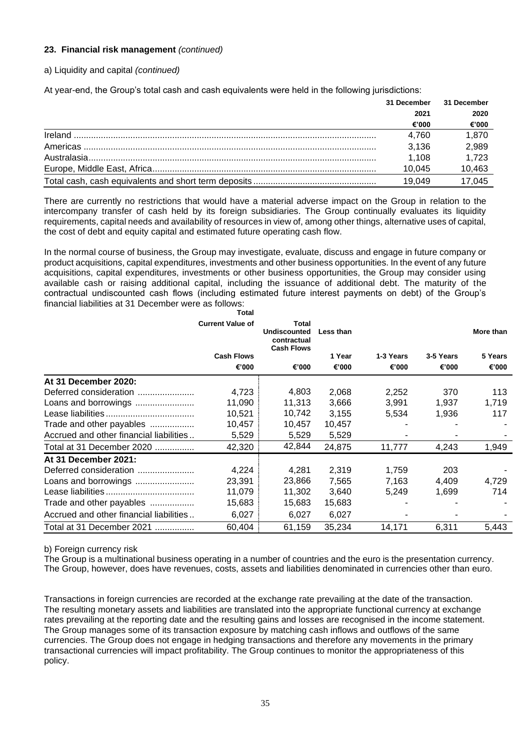## **23. Financial risk management** *(continued)*

## a) Liquidity and capital *(continued)*

At year-end, the Group's total cash and cash equivalents were held in the following jurisdictions:

|         | 31 December | 31 December |
|---------|-------------|-------------|
|         | 2021        | 2020        |
|         | €'000       | €'000       |
| Ireland | 4.760       | 1.870       |
|         | 3,136       | 2,989       |
|         | 1.108       | 1,723       |
|         | 10.045      | 10,463      |
|         | 19.049      | 17.045      |

There are currently no restrictions that would have a material adverse impact on the Group in relation to the intercompany transfer of cash held by its foreign subsidiaries. The Group continually evaluates its liquidity requirements, capital needs and availability of resources in view of, among other things, alternative uses of capital, the cost of debt and equity capital and estimated future operating cash flow.

In the normal course of business, the Group may investigate, evaluate, discuss and engage in future company or product acquisitions, capital expenditures, investments and other business opportunities. In the event of any future acquisitions, capital expenditures, investments or other business opportunities, the Group may consider using available cash or raising additional capital, including the issuance of additional debt. The maturity of the contractual undiscounted cash flows (including estimated future interest payments on debt) of the Group's financial liabilities at 31 December were as follows:

|                                         | <b>Total</b>            |                                                                  |           |           |           |           |
|-----------------------------------------|-------------------------|------------------------------------------------------------------|-----------|-----------|-----------|-----------|
|                                         | <b>Current Value of</b> | Total<br><b>Undiscounted</b><br>contractual<br><b>Cash Flows</b> | Less than |           |           | More than |
|                                         | <b>Cash Flows</b>       |                                                                  | 1 Year    | 1-3 Years | 3-5 Years | 5 Years   |
|                                         | €'000                   | €'000                                                            | €'000     | €'000     | €'000     | €'000     |
| At 31 December 2020:                    |                         |                                                                  |           |           |           |           |
| Deferred consideration                  | 4,723                   | 4,803                                                            | 2,068     | 2,252     | 370       | 113       |
| Loans and borrowings                    | 11.090                  | 11,313                                                           | 3.666     | 3.991     | 1.937     | 1,719     |
|                                         | 10,521                  | 10,742                                                           | 3,155     | 5,534     | 1,936     | 117       |
| Trade and other payables                | 10,457                  | 10,457                                                           | 10,457    |           |           |           |
| Accrued and other financial liabilities | 5,529                   | 5,529                                                            | 5,529     |           |           |           |
| Total at 31 December 2020               | 42,320                  | 42,844                                                           | 24,875    | 11,777    | 4,243     | 1,949     |
| At 31 December 2021:                    |                         |                                                                  |           |           |           |           |
| Deferred consideration                  | 4,224                   | 4,281                                                            | 2,319     | 1,759     | 203       |           |
| Loans and borrowings                    | 23,391                  | 23,866                                                           | 7.565     | 7.163     | 4.409     | 4,729     |
|                                         | 11,079                  | 11,302                                                           | 3,640     | 5,249     | 1,699     | 714       |
| Trade and other payables                | 15,683                  | 15,683                                                           | 15,683    |           |           |           |
| Accrued and other financial liabilities | 6,027                   | 6,027                                                            | 6,027     |           |           |           |
| Total at 31 December 2021               | 60.404                  | 61,159                                                           | 35,234    | 14.171    | 6.311     | 5,443     |

#### b) Foreign currency risk

The Group is a multinational business operating in a number of countries and the euro is the presentation currency. The Group, however, does have revenues, costs, assets and liabilities denominated in currencies other than euro.

Transactions in foreign currencies are recorded at the exchange rate prevailing at the date of the transaction. The resulting monetary assets and liabilities are translated into the appropriate functional currency at exchange rates prevailing at the reporting date and the resulting gains and losses are recognised in the income statement. The Group manages some of its transaction exposure by matching cash inflows and outflows of the same currencies. The Group does not engage in hedging transactions and therefore any movements in the primary transactional currencies will impact profitability. The Group continues to monitor the appropriateness of this policy.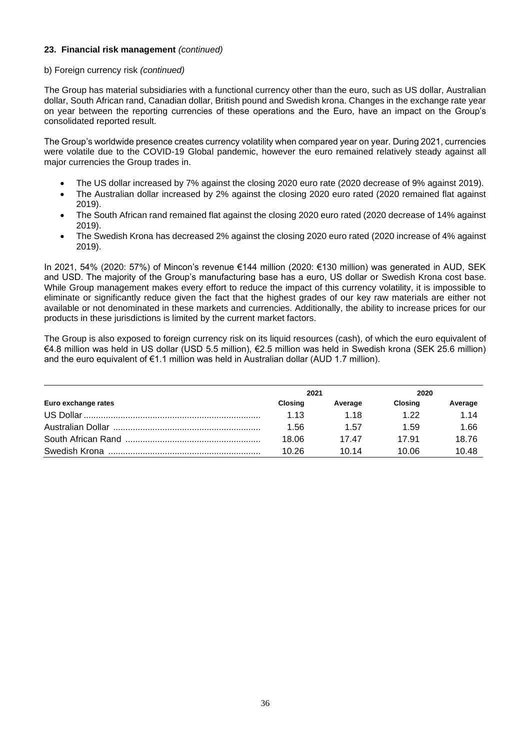## **23. Financial risk management** *(continued)*

#### b) Foreign currency risk *(continued)*

The Group has material subsidiaries with a functional currency other than the euro, such as US dollar, Australian dollar, South African rand, Canadian dollar, British pound and Swedish krona. Changes in the exchange rate year on year between the reporting currencies of these operations and the Euro, have an impact on the Group's consolidated reported result.

The Group's worldwide presence creates currency volatility when compared year on year. During 2021, currencies were volatile due to the COVID-19 Global pandemic, however the euro remained relatively steady against all major currencies the Group trades in.

- The US dollar increased by 7% against the closing 2020 euro rate (2020 decrease of 9% against 2019).
- The Australian dollar increased by 2% against the closing 2020 euro rated (2020 remained flat against 2019).
- The South African rand remained flat against the closing 2020 euro rated (2020 decrease of 14% against 2019).
- The Swedish Krona has decreased 2% against the closing 2020 euro rated (2020 increase of 4% against 2019).

In 2021, 54% (2020: 57%) of Mincon's revenue €144 million (2020: €130 million) was generated in AUD, SEK and USD. The majority of the Group's manufacturing base has a euro, US dollar or Swedish Krona cost base. While Group management makes every effort to reduce the impact of this currency volatility, it is impossible to eliminate or significantly reduce given the fact that the highest grades of our key raw materials are either not available or not denominated in these markets and currencies. Additionally, the ability to increase prices for our products in these jurisdictions is limited by the current market factors.

The Group is also exposed to foreign currency risk on its liquid resources (cash), of which the euro equivalent of €4.8 million was held in US dollar (USD 5.5 million), €2.5 million was held in Swedish krona (SEK 25.6 million) and the euro equivalent of €1.1 million was held in Australian dollar (AUD 1.7 million).

|                     | 2021           |         | 2020           |         |
|---------------------|----------------|---------|----------------|---------|
| Euro exchange rates | <b>Closing</b> | Average | <b>Closing</b> | Average |
|                     | 1.13           | 1 18    | 1 22           | 1.14    |
|                     | 1.56           | 1.57    | 1.59           | 1.66    |
|                     | 18.06          | 1747    | 17.91          | 18.76   |
|                     | 10.26          | 10.14   | 10.06          | 10.48   |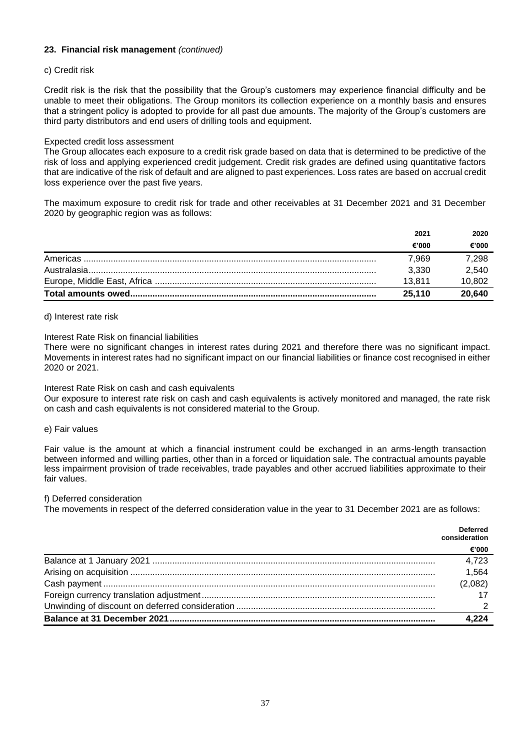## **23. Financial risk management** *(continued)*

#### c) Credit risk

Credit risk is the risk that the possibility that the Group's customers may experience financial difficulty and be unable to meet their obligations. The Group monitors its collection experience on a monthly basis and ensures that a stringent policy is adopted to provide for all past due amounts. The majority of the Group's customers are third party distributors and end users of drilling tools and equipment.

#### Expected credit loss assessment

The Group allocates each exposure to a credit risk grade based on data that is determined to be predictive of the risk of loss and applying experienced credit judgement. Credit risk grades are defined using quantitative factors that are indicative of the risk of default and are aligned to past experiences. Loss rates are based on accrual credit loss experience over the past five years.

The maximum exposure to credit risk for trade and other receivables at 31 December 2021 and 31 December 2020 by geographic region was as follows:

| 2021   | 2020   |
|--------|--------|
| €'000  | €'000  |
| 7.969  | 7,298  |
| 3.330  | 2.540  |
| 13.811 | 10,802 |
| 25.110 | 20,640 |

#### d) Interest rate risk

#### Interest Rate Risk on financial liabilities

There were no significant changes in interest rates during 2021 and therefore there was no significant impact. Movements in interest rates had no significant impact on our financial liabilities or finance cost recognised in either 2020 or 2021.

#### Interest Rate Risk on cash and cash equivalents

Our exposure to interest rate risk on cash and cash equivalents is actively monitored and managed, the rate risk on cash and cash equivalents is not considered material to the Group.

#### e) Fair values

Fair value is the amount at which a financial instrument could be exchanged in an arms-length transaction between informed and willing parties, other than in a forced or liquidation sale. The contractual amounts payable less impairment provision of trade receivables, trade payables and other accrued liabilities approximate to their fair values.

#### f) Deferred consideration

The movements in respect of the deferred consideration value in the year to 31 December 2021 are as follows:

| <b>Deferred</b><br>consideration |
|----------------------------------|
| €'000                            |
| 4,723                            |
| 1,564                            |
| (2,082)                          |
|                                  |
|                                  |
| 4.224                            |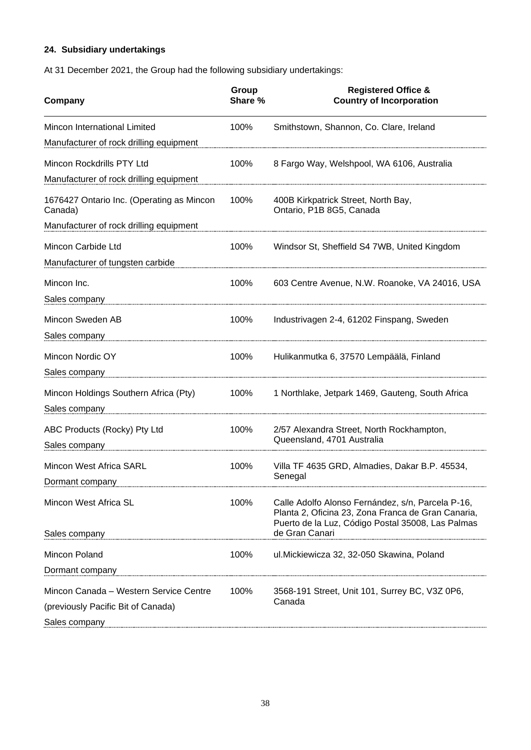## **24. Subsidiary undertakings**

At 31 December 2021, the Group had the following subsidiary undertakings:

| Company                                              | Group<br>Share % | <b>Registered Office &amp;</b><br><b>Country of Incorporation</b>                                                                                            |
|------------------------------------------------------|------------------|--------------------------------------------------------------------------------------------------------------------------------------------------------------|
| Mincon International Limited                         | 100%             | Smithstown, Shannon, Co. Clare, Ireland                                                                                                                      |
| Manufacturer of rock drilling equipment              |                  |                                                                                                                                                              |
| Mincon Rockdrills PTY Ltd                            | 100%             | 8 Fargo Way, Welshpool, WA 6106, Australia                                                                                                                   |
| Manufacturer of rock drilling equipment              |                  |                                                                                                                                                              |
| 1676427 Ontario Inc. (Operating as Mincon<br>Canada) | 100%             | 400B Kirkpatrick Street, North Bay,<br>Ontario, P1B 8G5, Canada                                                                                              |
| Manufacturer of rock drilling equipment              |                  |                                                                                                                                                              |
| Mincon Carbide Ltd                                   | 100%             | Windsor St, Sheffield S4 7WB, United Kingdom                                                                                                                 |
| Manufacturer of tungsten carbide                     |                  |                                                                                                                                                              |
| Mincon Inc.                                          | 100%             | 603 Centre Avenue, N.W. Roanoke, VA 24016, USA                                                                                                               |
| Sales company                                        |                  |                                                                                                                                                              |
| Mincon Sweden AB                                     | 100%             | Industrivagen 2-4, 61202 Finspang, Sweden                                                                                                                    |
| Sales company                                        |                  |                                                                                                                                                              |
| Mincon Nordic OY                                     | 100%             | Hulikanmutka 6, 37570 Lempäälä, Finland                                                                                                                      |
| Sales company                                        |                  |                                                                                                                                                              |
| Mincon Holdings Southern Africa (Pty)                | 100%             | 1 Northlake, Jetpark 1469, Gauteng, South Africa                                                                                                             |
| Sales company                                        |                  |                                                                                                                                                              |
| ABC Products (Rocky) Pty Ltd                         | 100%             | 2/57 Alexandra Street, North Rockhampton,                                                                                                                    |
| Sales company                                        |                  | Queensland, 4701 Australia                                                                                                                                   |
| <b>Mincon West Africa SARL</b>                       | 100%             | Villa TF 4635 GRD, Almadies, Dakar B.P. 45534,                                                                                                               |
| Dormant company                                      |                  | Senegal                                                                                                                                                      |
| Mincon West Africa SL                                | 100%             | Calle Adolfo Alonso Fernández, s/n, Parcela P-16,<br>Planta 2, Oficina 23, Zona Franca de Gran Canaria,<br>Puerto de la Luz, Código Postal 35008, Las Palmas |
| Sales company                                        |                  | de Gran Canari                                                                                                                                               |
| Mincon Poland                                        | 100%             | ul. Mickiewicza 32, 32-050 Skawina, Poland                                                                                                                   |
| Dormant company                                      |                  |                                                                                                                                                              |
| Mincon Canada - Western Service Centre               | 100%             | 3568-191 Street, Unit 101, Surrey BC, V3Z 0P6,                                                                                                               |
| (previously Pacific Bit of Canada)                   |                  | Canada                                                                                                                                                       |
| Sales company                                        |                  |                                                                                                                                                              |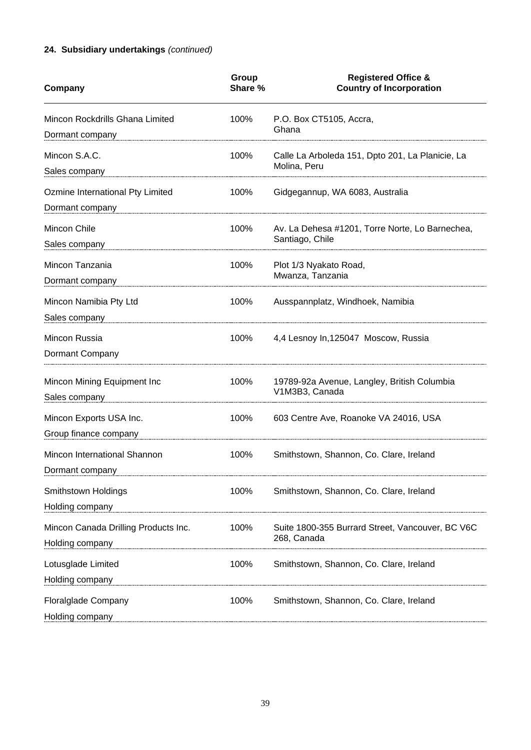## **24. Subsidiary undertakings** *(continued)*

| Company                                                                                                                                      | Group<br>Share % | <b>Registered Office &amp;</b><br><b>Country of Incorporation</b>  |
|----------------------------------------------------------------------------------------------------------------------------------------------|------------------|--------------------------------------------------------------------|
| Mincon Rockdrills Ghana Limited<br>Dormant company                                                                                           | 100%             | P.O. Box CT5105, Accra,<br>Ghana                                   |
| Mincon S.A.C.<br>Sales company                                                                                                               | 100%             | Calle La Arboleda 151, Dpto 201, La Planicie, La<br>Molina, Peru   |
| Ozmine International Pty Limited<br>Dormant company                                                                                          | 100%             | Gidgegannup, WA 6083, Australia                                    |
| Mincon Chile<br>Sales company                                                                                                                | 100%             | Av. La Dehesa #1201, Torre Norte, Lo Barnechea,<br>Santiago, Chile |
| Mincon Tanzania<br>Dormant company                                                                                                           | 100%             | Plot 1/3 Nyakato Road,<br>Mwanza, Tanzania                         |
| Mincon Namibia Pty Ltd<br>Sales company                                                                                                      | 100%             | Ausspannplatz, Windhoek, Namibia                                   |
| Mincon Russia<br>Dormant Company                                                                                                             | 100%             | 4,4 Lesnoy In, 125047 Moscow, Russia                               |
| Mincon Mining Equipment Inc<br>Sales company                                                                                                 | 100%             | 19789-92a Avenue, Langley, British Columbia<br>V1M3B3, Canada      |
| Mincon Exports USA Inc.<br>Group finance company                                                                                             | 100%             | 603 Centre Ave, Roanoke VA 24016, USA                              |
| Mincon International Shannon<br>Dormant company                                                                                              | 100%             | Smithstown, Shannon, Co. Clare, Ireland                            |
| Smithstown Holdings<br>Holding company                                                                                                       | 100%             | Smithstown, Shannon, Co. Clare, Ireland                            |
| Mincon Canada Drilling Products Inc.<br>Holding company                                                                                      | 100%             | Suite 1800-355 Burrard Street, Vancouver, BC V6C<br>268, Canada    |
| Lotusglade Limited<br>Holding company                                                                                                        | 100%             | Smithstown, Shannon, Co. Clare, Ireland                            |
| <b>Floralglade Company</b><br>Holding company https://www.anaur.com/individual/individual/individual/individual/individual/individual/indivi | 100%             | Smithstown, Shannon, Co. Clare, Ireland                            |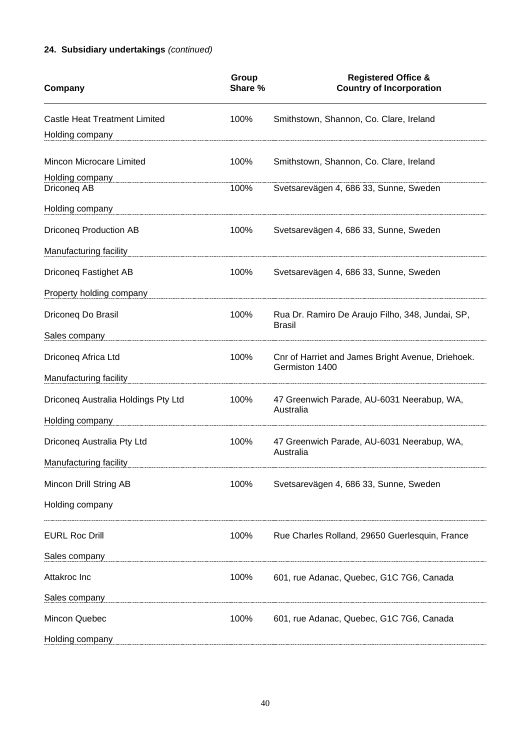## **24. Subsidiary undertakings** *(continued)*

| Company                              | Group<br>Share % | <b>Registered Office &amp;</b><br><b>Country of Incorporation</b>   |
|--------------------------------------|------------------|---------------------------------------------------------------------|
| <b>Castle Heat Treatment Limited</b> | 100%             | Smithstown, Shannon, Co. Clare, Ireland                             |
| Holding company                      |                  |                                                                     |
| Mincon Microcare Limited             | 100%             | Smithstown, Shannon, Co. Clare, Ireland                             |
| Holding company<br>Driconeg AB       | 100%             | Svetsarevägen 4, 686 33, Sunne, Sweden                              |
| Holding company                      |                  |                                                                     |
| <b>Driconeg Production AB</b>        | 100%             | Svetsarevägen 4, 686 33, Sunne, Sweden                              |
| Manufacturing facility               |                  |                                                                     |
| Driconeq Fastighet AB                | 100%             | Svetsarevägen 4, 686 33, Sunne, Sweden                              |
| Property holding company             |                  |                                                                     |
| Driconeq Do Brasil                   | 100%             | Rua Dr. Ramiro De Araujo Filho, 348, Jundai, SP,<br><b>Brasil</b>   |
| Sales company                        |                  |                                                                     |
| Driconeq Africa Ltd                  | 100%             | Cnr of Harriet and James Bright Avenue, Driehoek.<br>Germiston 1400 |
| Manufacturing facility               |                  |                                                                     |
| Driconeq Australia Holdings Pty Ltd  | 100%             | 47 Greenwich Parade, AU-6031 Neerabup, WA,<br>Australia             |
| Holding company                      |                  |                                                                     |
| Driconeq Australia Pty Ltd           | 100%             | 47 Greenwich Parade, AU-6031 Neerabup, WA,<br>Australia             |
| Manufacturing facility               |                  |                                                                     |
| Mincon Drill String AB               | 100%             | Svetsarevägen 4, 686 33, Sunne, Sweden                              |
| Holding company                      |                  |                                                                     |
| <b>EURL Roc Drill</b>                | 100%             | Rue Charles Rolland, 29650 Guerlesquin, France                      |
| Sales company                        |                  |                                                                     |
| Attakroc Inc                         | 100%             | 601, rue Adanac, Quebec, G1C 7G6, Canada                            |
| Sales company                        |                  |                                                                     |
| Mincon Quebec                        | 100%             | 601, rue Adanac, Quebec, G1C 7G6, Canada                            |
| Holding company                      |                  |                                                                     |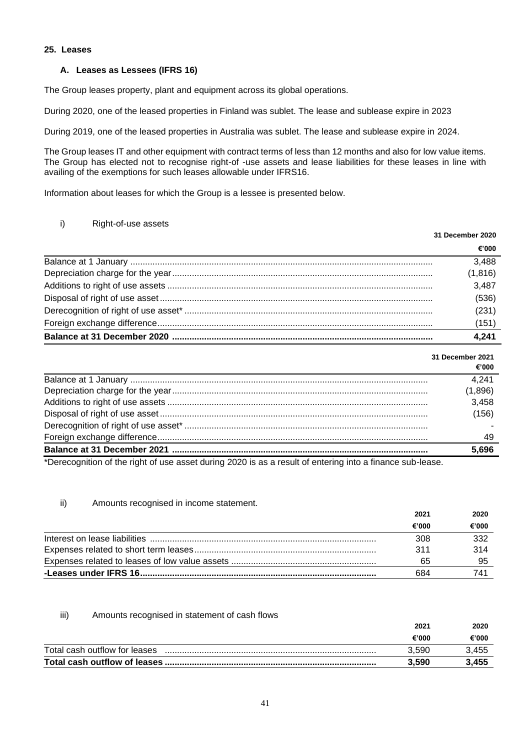#### **25. Leases**

## **A. Leases as Lessees (IFRS 16)**

The Group leases property, plant and equipment across its global operations.

During 2020, one of the leased properties in Finland was sublet. The lease and sublease expire in 2023

During 2019, one of the leased properties in Australia was sublet. The lease and sublease expire in 2024.

The Group leases IT and other equipment with contract terms of less than 12 months and also for low value items. The Group has elected not to recognise right-of -use assets and lease liabilities for these leases in line with availing of the exemptions for such leases allowable under IFRS16.

Information about leases for which the Group is a lessee is presented below.

## i) Right-of-use assets

| 31 December 2020 |  |
|------------------|--|
| €'000            |  |
| 3,488            |  |
| (1,816)          |  |
| 3,487            |  |
| (536)            |  |
| (231)            |  |
| (151)            |  |
| 4.241            |  |

|                                                                                                        | 31 December 2021 |  |
|--------------------------------------------------------------------------------------------------------|------------------|--|
|                                                                                                        | €'000            |  |
|                                                                                                        | 4,241            |  |
|                                                                                                        | (1,896)          |  |
|                                                                                                        | 3,458            |  |
|                                                                                                        | (156)            |  |
|                                                                                                        |                  |  |
|                                                                                                        | 49               |  |
|                                                                                                        | 5,696            |  |
| *Dereception of the right of use coast during 2020 is so a result of entering into a finance sub loose |                  |  |

\*Derecognition of the right of use asset during 2020 is as a result of entering into a finance sub-lease.

## ii) Amounts recognised in income statement.

| 2021  | 2020  |
|-------|-------|
| €'000 | €'000 |
| 308   | 332   |
| 311   | 314   |
| 65    |       |
| 684   | 741   |

#### iii) Amounts recognised in statement of cash flows

|                               | 2021  | 2020  |
|-------------------------------|-------|-------|
|                               | €'000 | €'000 |
| Total cash outflow for leases | 3.590 | 3,455 |
|                               | 3.590 | 3,455 |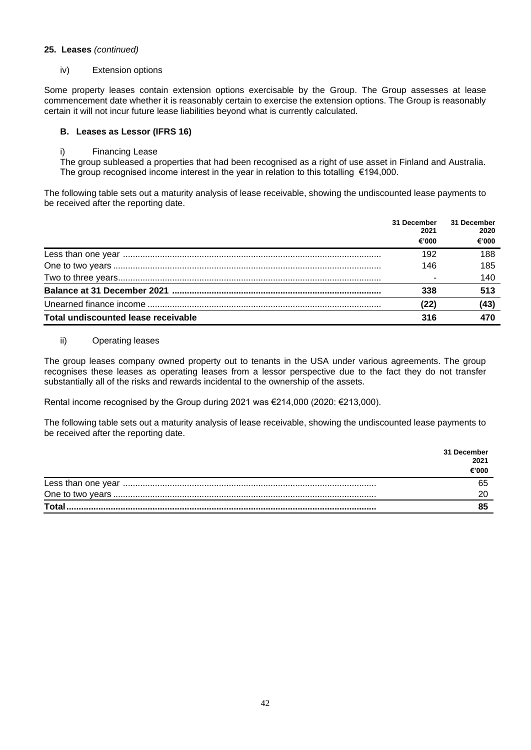#### **25. Leases** *(continued)*

iv) Extension options

Some property leases contain extension options exercisable by the Group. The Group assesses at lease commencement date whether it is reasonably certain to exercise the extension options. The Group is reasonably certain it will not incur future lease liabilities beyond what is currently calculated.

## **B. Leases as Lessor (IFRS 16)**

i) Financing Lease

The group subleased a properties that had been recognised as a right of use asset in Finland and Australia. The group recognised income interest in the year in relation to this totalling  $\epsilon$ 194,000.

The following table sets out a maturity analysis of lease receivable, showing the undiscounted lease payments to be received after the reporting date.

|                                     | 31 December<br>2021<br>€'000 | 31 December<br>2020<br>€'000 |
|-------------------------------------|------------------------------|------------------------------|
|                                     | 192                          | 188                          |
|                                     | 146                          | 185                          |
|                                     |                              | 140                          |
|                                     | 338                          | 513                          |
|                                     | (22)                         | (43)                         |
| Total undiscounted lease receivable | 316                          | 470                          |

#### ii) Operating leases

The group leases company owned property out to tenants in the USA under various agreements. The group recognises these leases as operating leases from a lessor perspective due to the fact they do not transfer substantially all of the risks and rewards incidental to the ownership of the assets.

Rental income recognised by the Group during 2021 was €214,000 (2020: €213,000).

The following table sets out a maturity analysis of lease receivable, showing the undiscounted lease payments to be received after the reporting date.

|              | 31 December<br>2021 |
|--------------|---------------------|
|              | €'000               |
|              |                     |
|              |                     |
| <b>Total</b> |                     |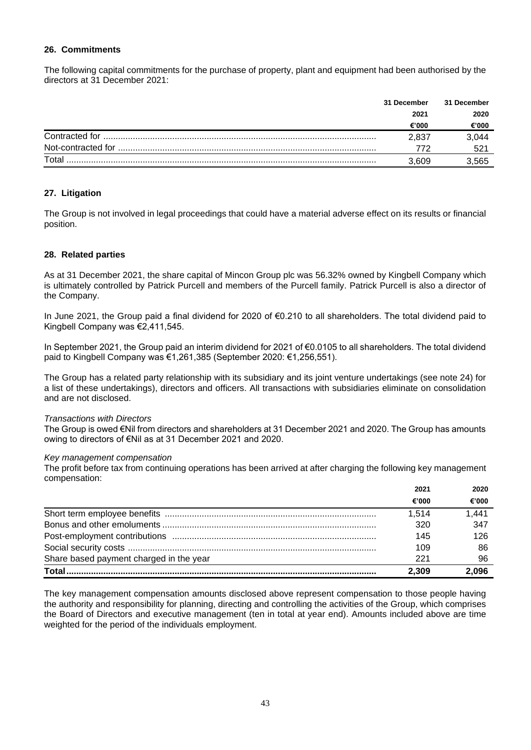#### **26. Commitments**

The following capital commitments for the purchase of property, plant and equipment had been authorised by the directors at 31 December 2021:

|                | 31 December | 31 December |
|----------------|-------------|-------------|
|                | 2021        | 2020        |
|                | €'000       | €'000       |
| Contracted for | 2,837       | 3,044       |
|                |             | 521         |
| Total          |             | 3,565       |

## **27. Litigation**

The Group is not involved in legal proceedings that could have a material adverse effect on its results or financial position.

#### **28. Related parties**

As at 31 December 2021, the share capital of Mincon Group plc was 56.32% owned by Kingbell Company which is ultimately controlled by Patrick Purcell and members of the Purcell family. Patrick Purcell is also a director of the Company.

In June 2021, the Group paid a final dividend for 2020 of €0.210 to all shareholders. The total dividend paid to Kingbell Company was €2,411,545.

In September 2021, the Group paid an interim dividend for 2021 of €0.0105 to all shareholders. The total dividend paid to Kingbell Company was €1,261,385 (September 2020: €1,256,551).

The Group has a related party relationship with its subsidiary and its joint venture undertakings (see note 24) for a list of these undertakings), directors and officers. All transactions with subsidiaries eliminate on consolidation and are not disclosed.

#### *Transactions with Directors*

The Group is owed €Nil from directors and shareholders at 31 December 2021 and 2020. The Group has amounts owing to directors of €Nil as at 31 December 2021 and 2020.

#### *Key management compensation*

The profit before tax from continuing operations has been arrived at after charging the following key management compensation:

|                                         | 2021  | 2020  |
|-----------------------------------------|-------|-------|
|                                         | €'000 | €'000 |
|                                         | 1.514 | 1.441 |
|                                         | 320   | 347   |
|                                         | 145   | 126   |
|                                         | 109   | 86    |
| Share based payment charged in the year | -221  | 96    |
|                                         | 2.309 | 2,096 |

The key management compensation amounts disclosed above represent compensation to those people having the authority and responsibility for planning, directing and controlling the activities of the Group, which comprises the Board of Directors and executive management (ten in total at year end). Amounts included above are time weighted for the period of the individuals employment.